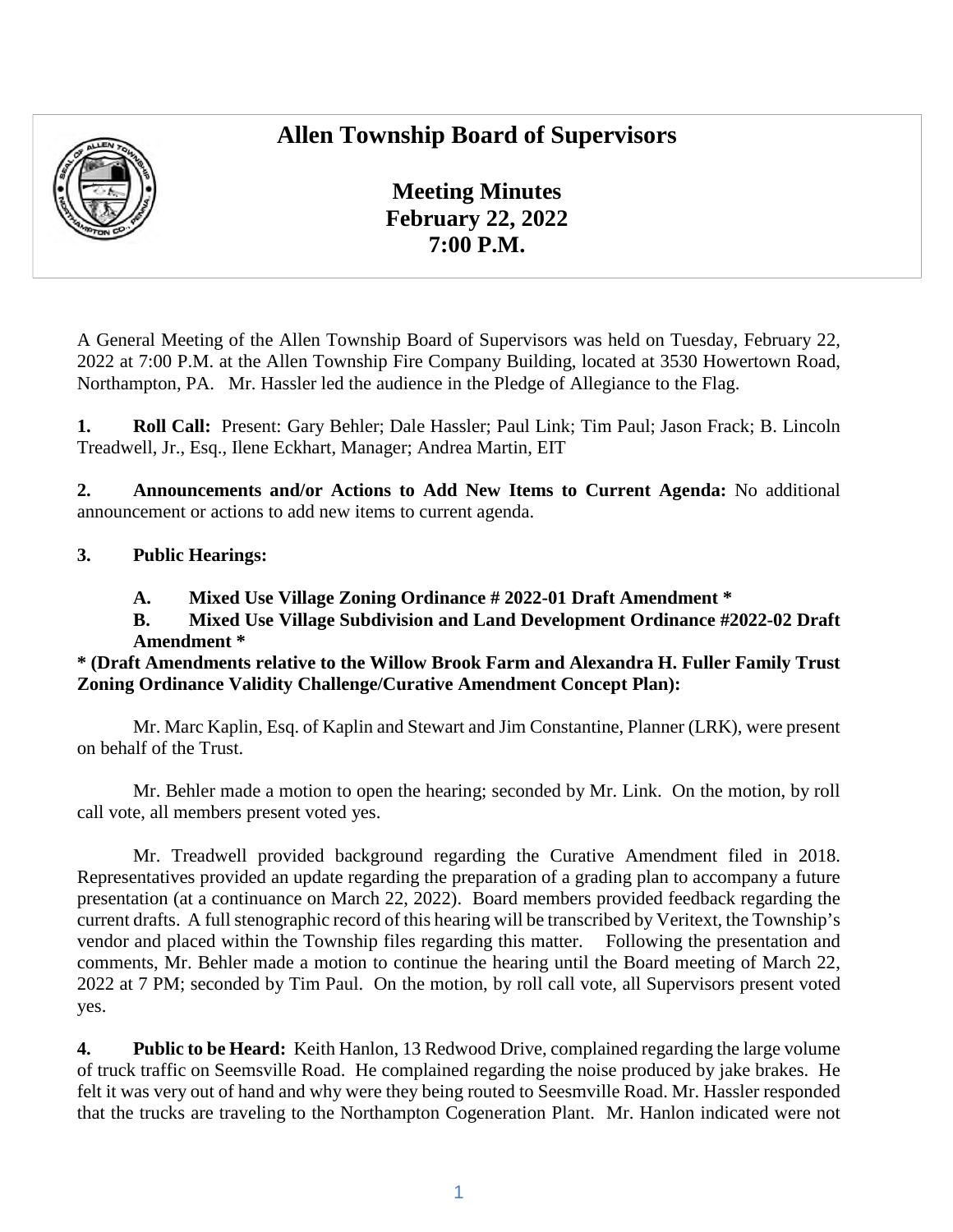# **Allen Township Board of Supervisors**



**Meeting Minutes February 22, 2022 7:00 P.M.** 

A General Meeting of the Allen Township Board of Supervisors was held on Tuesday, February 22, 2022 at 7:00 P.M. at the Allen Township Fire Company Building, located at 3530 Howertown Road, Northampton, PA. Mr. Hassler led the audience in the Pledge of Allegiance to the Flag.

**1. Roll Call:** Present: Gary Behler; Dale Hassler; Paul Link; Tim Paul; Jason Frack; B. Lincoln Treadwell, Jr., Esq., Ilene Eckhart, Manager; Andrea Martin, EIT

**2. Announcements and/or Actions to Add New Items to Current Agenda:** No additional announcement or actions to add new items to current agenda.

### **3. Public Hearings:**

**A. Mixed Use Village Zoning Ordinance # 2022-01 Draft Amendment \*** 

**B. Mixed Use Village Subdivision and Land Development Ordinance #2022-02 Draft Amendment \*** 

### **\* (Draft Amendments relative to the Willow Brook Farm and Alexandra H. Fuller Family Trust Zoning Ordinance Validity Challenge/Curative Amendment Concept Plan):**

Mr. Marc Kaplin, Esq. of Kaplin and Stewart and Jim Constantine, Planner (LRK), were present on behalf of the Trust.

Mr. Behler made a motion to open the hearing; seconded by Mr. Link. On the motion, by roll call vote, all members present voted yes.

Mr. Treadwell provided background regarding the Curative Amendment filed in 2018. Representatives provided an update regarding the preparation of a grading plan to accompany a future presentation (at a continuance on March 22, 2022). Board members provided feedback regarding the current drafts. A full stenographic record of this hearing will be transcribed by Veritext, the Township's vendor and placed within the Township files regarding this matter. Following the presentation and comments, Mr. Behler made a motion to continue the hearing until the Board meeting of March 22, 2022 at 7 PM; seconded by Tim Paul. On the motion, by roll call vote, all Supervisors present voted yes.

**4. Public to be Heard:** Keith Hanlon, 13 Redwood Drive, complained regarding the large volume of truck traffic on Seemsville Road. He complained regarding the noise produced by jake brakes. He felt it was very out of hand and why were they being routed to Seesmville Road. Mr. Hassler responded that the trucks are traveling to the Northampton Cogeneration Plant. Mr. Hanlon indicated were not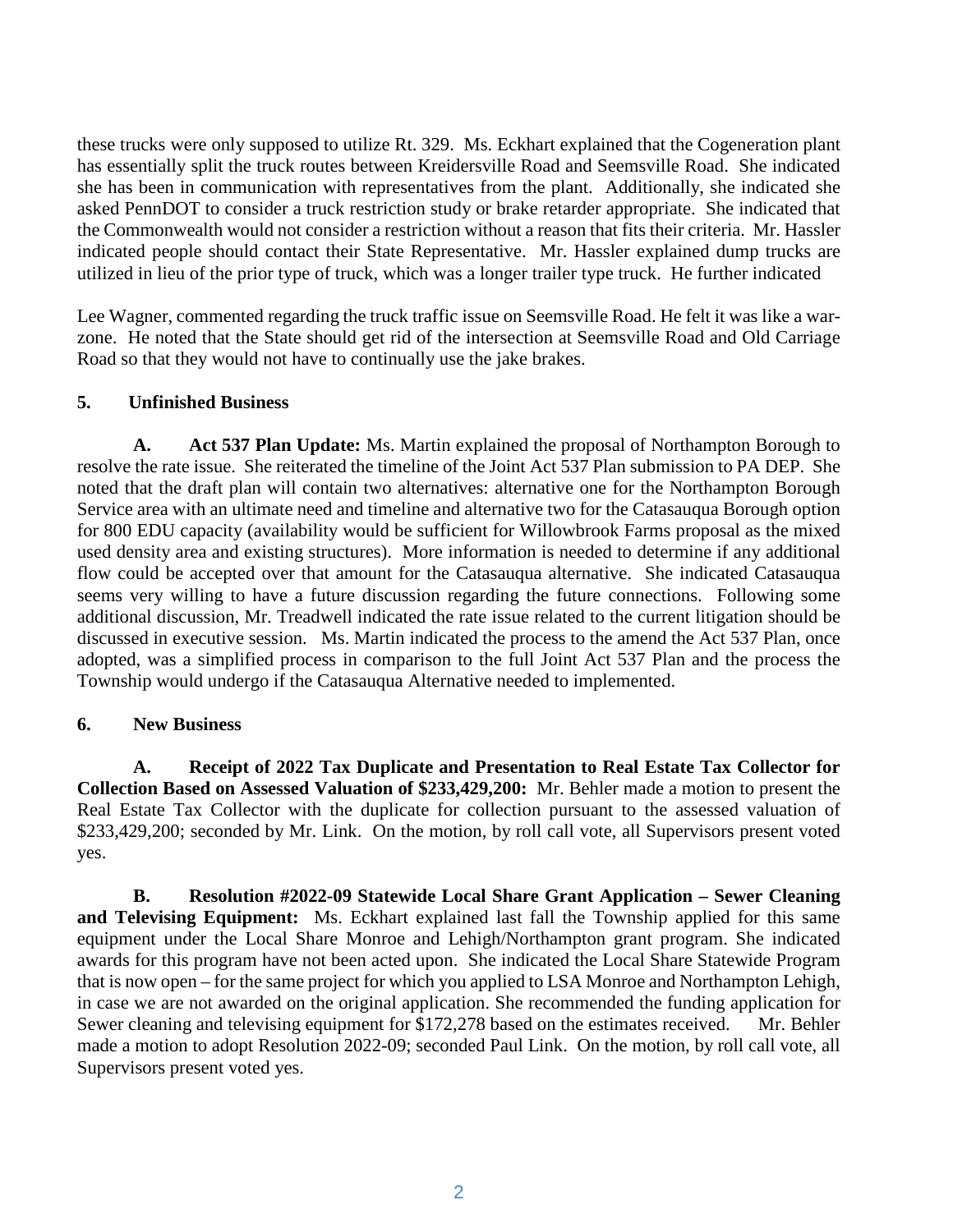these trucks were only supposed to utilize Rt. 329. Ms. Eckhart explained that the Cogeneration plant has essentially split the truck routes between Kreidersville Road and Seemsville Road. She indicated she has been in communication with representatives from the plant. Additionally, she indicated she asked PennDOT to consider a truck restriction study or brake retarder appropriate. She indicated that the Commonwealth would not consider a restriction without a reason that fits their criteria. Mr. Hassler indicated people should contact their State Representative. Mr. Hassler explained dump trucks are utilized in lieu of the prior type of truck, which was a longer trailer type truck. He further indicated

Lee Wagner, commented regarding the truck traffic issue on Seemsville Road. He felt it was like a warzone. He noted that the State should get rid of the intersection at Seemsville Road and Old Carriage Road so that they would not have to continually use the jake brakes.

### **5. Unfinished Business**

**A. Act 537 Plan Update:** Ms. Martin explained the proposal of Northampton Borough to resolve the rate issue. She reiterated the timeline of the Joint Act 537 Plan submission to PA DEP. She noted that the draft plan will contain two alternatives: alternative one for the Northampton Borough Service area with an ultimate need and timeline and alternative two for the Catasauqua Borough option for 800 EDU capacity (availability would be sufficient for Willowbrook Farms proposal as the mixed used density area and existing structures). More information is needed to determine if any additional flow could be accepted over that amount for the Catasauqua alternative. She indicated Catasauqua seems very willing to have a future discussion regarding the future connections. Following some additional discussion, Mr. Treadwell indicated the rate issue related to the current litigation should be discussed in executive session. Ms. Martin indicated the process to the amend the Act 537 Plan, once adopted, was a simplified process in comparison to the full Joint Act 537 Plan and the process the Township would undergo if the Catasauqua Alternative needed to implemented.

#### **6. New Business**

**A. Receipt of 2022 Tax Duplicate and Presentation to Real Estate Tax Collector for Collection Based on Assessed Valuation of \$233,429,200:** Mr. Behler made a motion to present the Real Estate Tax Collector with the duplicate for collection pursuant to the assessed valuation of \$233,429,200; seconded by Mr. Link. On the motion, by roll call vote, all Supervisors present voted yes.

**B. Resolution #2022-09 Statewide Local Share Grant Application – Sewer Cleaning and Televising Equipment:** Ms. Eckhart explained last fall the Township applied for this same equipment under the Local Share Monroe and Lehigh/Northampton grant program. She indicated awards for this program have not been acted upon. She indicated the Local Share Statewide Program that is now open – for the same project for which you applied to LSA Monroe and Northampton Lehigh, in case we are not awarded on the original application. She recommended the funding application for Sewer cleaning and televising equipment for \$172,278 based on the estimates received. Mr. Behler made a motion to adopt Resolution 2022-09; seconded Paul Link. On the motion, by roll call vote, all Supervisors present voted yes.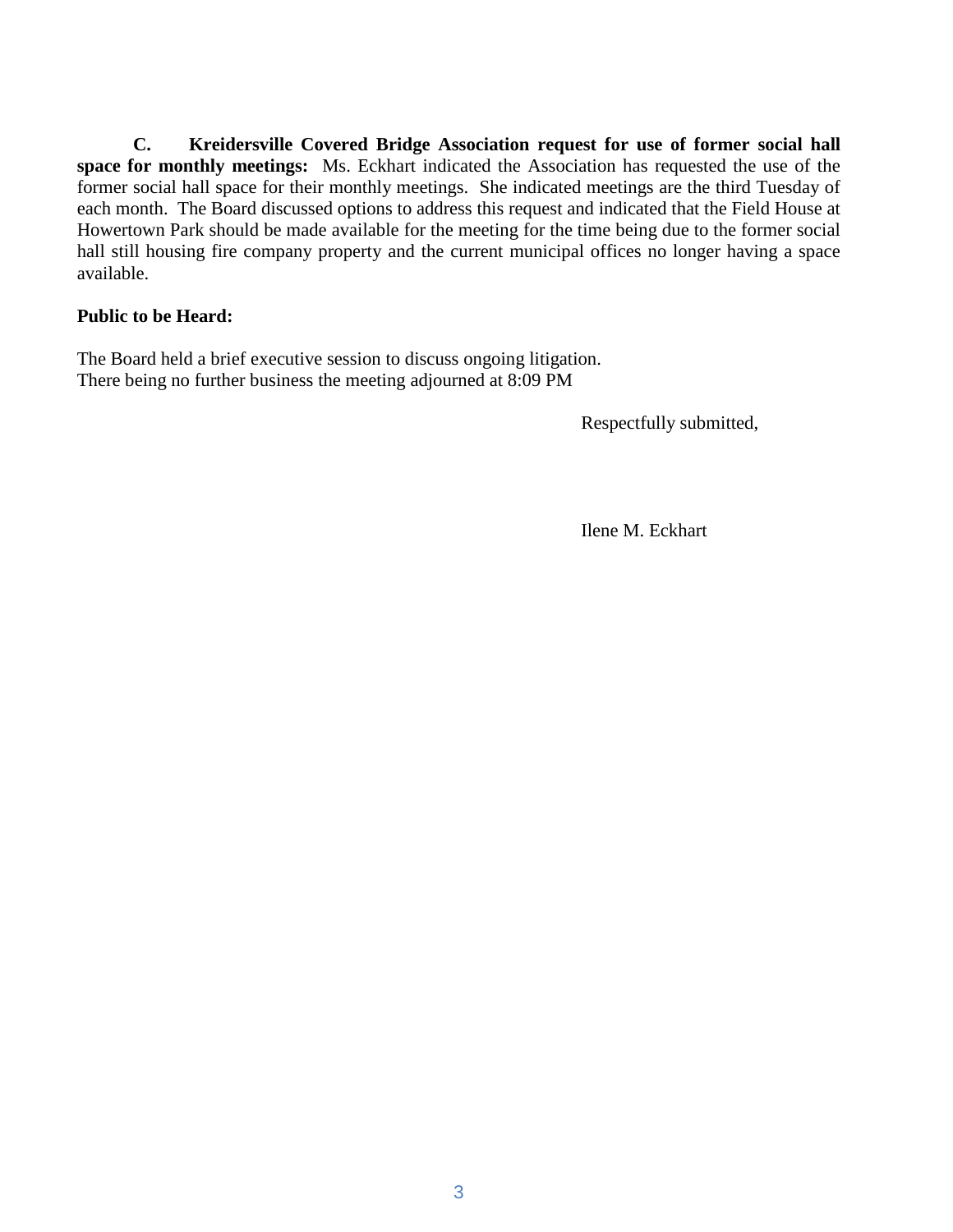**C. Kreidersville Covered Bridge Association request for use of former social hall space for monthly meetings:** Ms. Eckhart indicated the Association has requested the use of the former social hall space for their monthly meetings. She indicated meetings are the third Tuesday of each month. The Board discussed options to address this request and indicated that the Field House at Howertown Park should be made available for the meeting for the time being due to the former social hall still housing fire company property and the current municipal offices no longer having a space available.

#### **Public to be Heard:**

The Board held a brief executive session to discuss ongoing litigation. There being no further business the meeting adjourned at 8:09 PM

Respectfully submitted,

Ilene M. Eckhart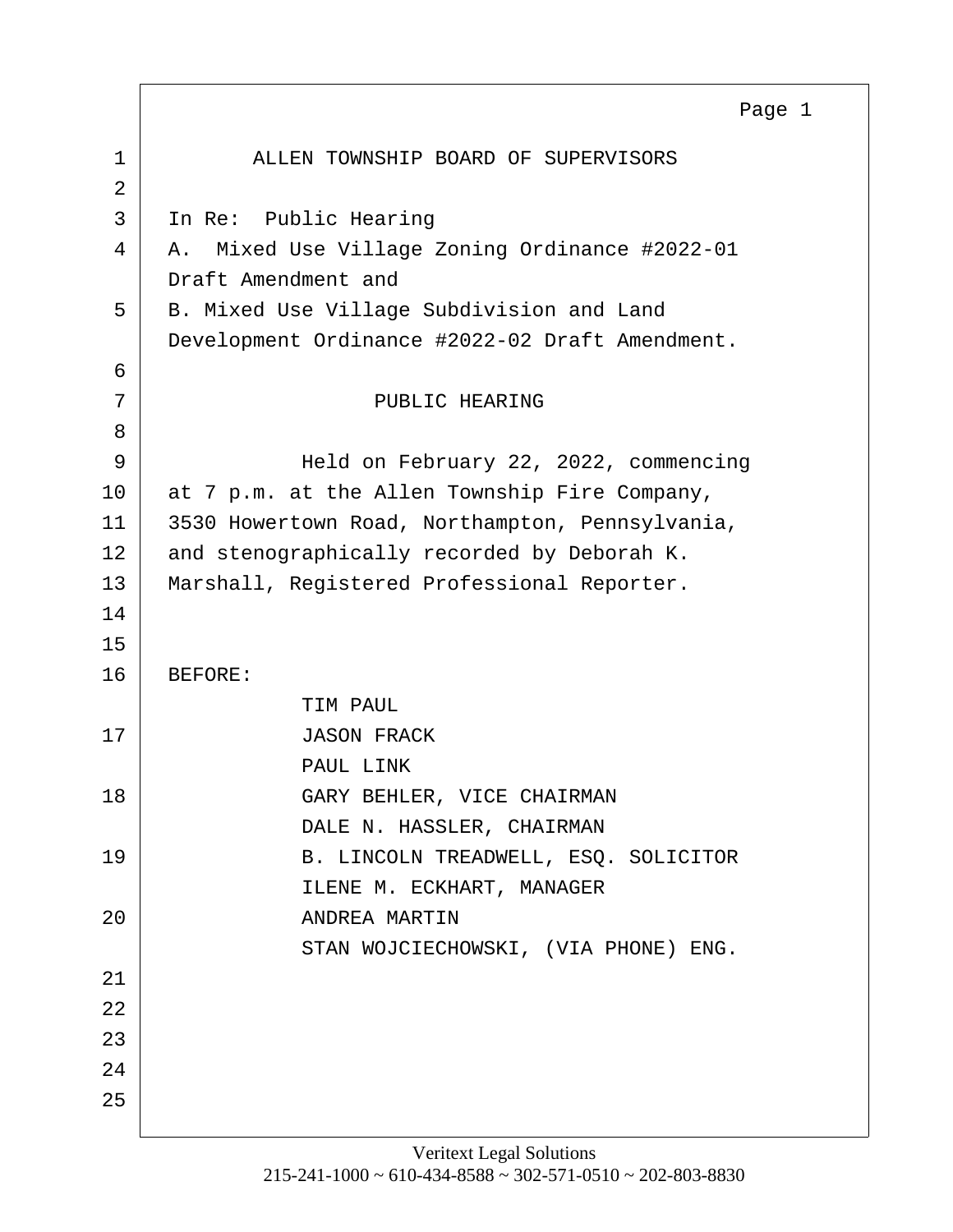<span id="page-3-0"></span>1 ALLEN TOWNSHIP BOARD OF SUPERVISORS 2 3 In Re: Public Hearing 4 A. Mixed Use Village Zoning Ordinance #2022-01 Draft Amendment and 5 B. Mixed Use Village Subdivision and Land Development Ordinance #2022-02 Draft Amendment. 6 7 | PUBLIC HEARING 8 9 Held on February 22, 2022, commencing 10 at 7 p.m. at the Allen Township Fire Company, 11 3530 Howertown Road, Northampton, Pennsylvania, 12 and stenographically recorded by Deborah K. 13 Marshall, Registered Professional Reporter. 14 15 16 BEFORE: TIM PAUL 17 JASON FRACK PAUL LINK 18 GARY BEHLER, VICE CHAIRMAN DALE N. HASSLER, CHAIRMAN 19 B. LINCOLN TREADWELL, ESO. SOLICITOR ILENE M. ECKHART, MANAGER 20 ANDREA MARTIN STAN WOJCIECHOWSKI, (VIA PHONE) ENG. 21 22 23 24 25 Page 1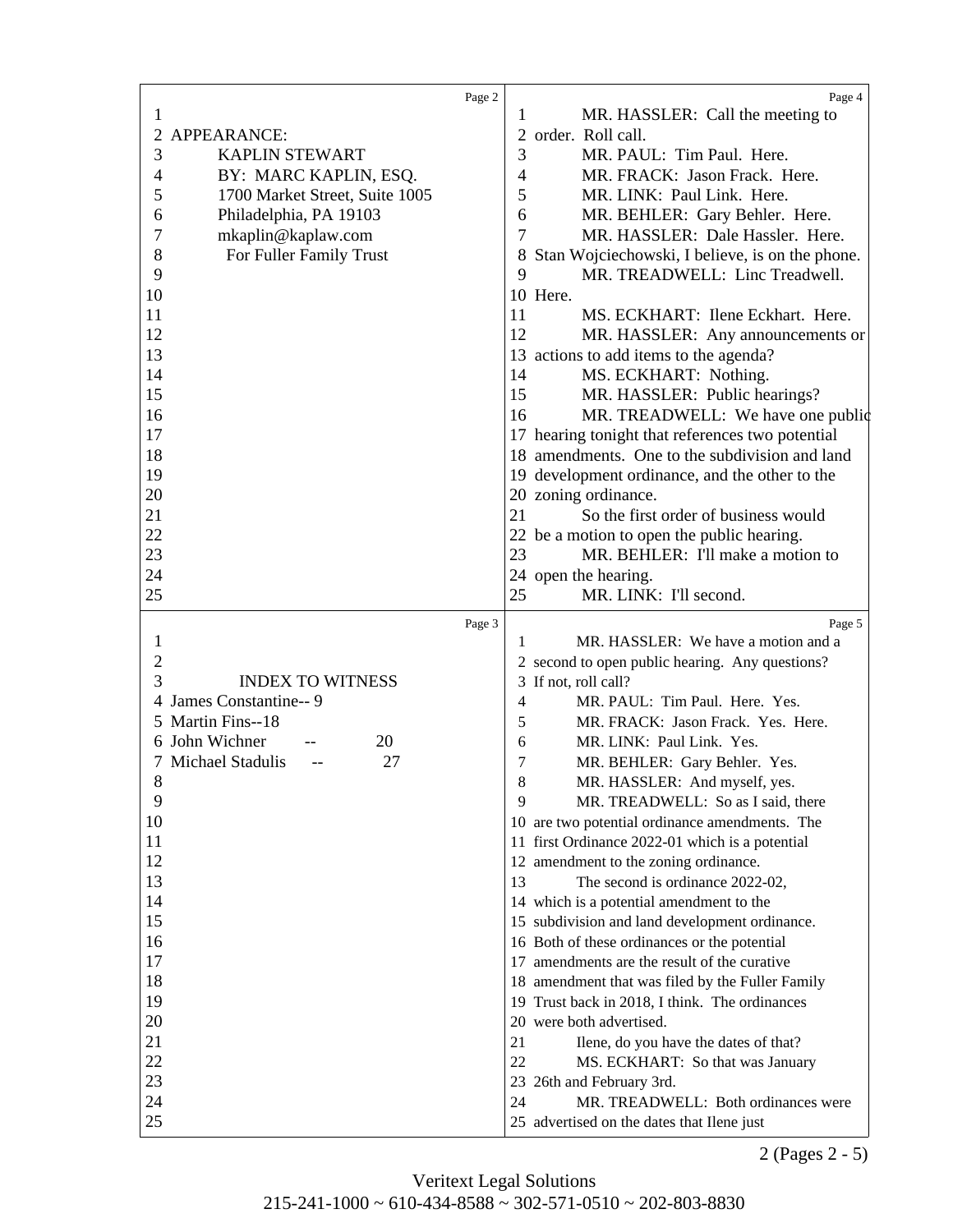<span id="page-4-0"></span>

|                |                                | Page 2 | Page 4                                               |
|----------------|--------------------------------|--------|------------------------------------------------------|
| 1              |                                |        | MR. HASSLER: Call the meeting to<br>1                |
| 2              | APPEARANCE:                    |        | 2 order. Roll call.                                  |
| 3              | <b>KAPLIN STEWART</b>          |        | 3<br>MR. PAUL: Tim Paul. Here.                       |
| $\overline{4}$ | BY: MARC KAPLIN, ESQ.          |        | $\overline{4}$<br>MR. FRACK: Jason Frack. Here.      |
| 5              | 1700 Market Street, Suite 1005 |        | 5<br>MR. LINK: Paul Link. Here.                      |
| 6              | Philadelphia, PA 19103         |        | 6<br>MR. BEHLER: Gary Behler. Here.                  |
| 7              | mkaplin@kaplaw.com             |        | 7<br>MR. HASSLER: Dale Hassler. Here.                |
| 8              | For Fuller Family Trust        |        | Stan Wojciechowski, I believe, is on the phone.<br>8 |
| 9              |                                |        | 9<br>MR. TREADWELL: Linc Treadwell.                  |
| 10             |                                |        | 10 Here.                                             |
| 11             |                                |        | 11<br>MS. ECKHART: Ilene Eckhart. Here.              |
| 12             |                                |        | 12<br>MR. HASSLER: Any announcements or              |
| 13             |                                |        | 13 actions to add items to the agenda?               |
| 14             |                                |        | MS. ECKHART: Nothing.<br>14                          |
| 15             |                                |        | 15                                                   |
|                |                                |        | MR. HASSLER: Public hearings?                        |
| 16             |                                |        | MR. TREADWELL: We have one public<br>16              |
| 17             |                                |        | 17 hearing tonight that references two potential     |
| 18             |                                |        | 18 amendments. One to the subdivision and land       |
| 19             |                                |        | 19 development ordinance, and the other to the       |
| 20             |                                |        | 20 zoning ordinance.                                 |
| 21             |                                |        | So the first order of business would<br>21           |
| 22             |                                |        | 22 be a motion to open the public hearing.           |
| 23             |                                |        | MR. BEHLER: I'll make a motion to<br>23              |
| 24             |                                |        | 24 open the hearing.                                 |
| 25             |                                |        | 25<br>MR. LINK: I'll second.                         |
|                |                                |        |                                                      |
|                |                                | Page 3 | Page 5                                               |
| $\mathbf{1}$   |                                |        | MR. HASSLER: We have a motion and a<br>1             |
| $\sqrt{2}$     |                                |        | 2 second to open public hearing. Any questions?      |
| 3              | <b>INDEX TO WITNESS</b>        |        | 3 If not, roll call?                                 |
| 4              | James Constantine-- 9          |        | MR. PAUL: Tim Paul. Here. Yes.<br>4                  |
|                | 5 Martin Fins--18              |        | MR. FRACK: Jason Frack. Yes. Here.<br>5              |
|                | 6 John Wichner<br>20           |        | 6<br>MR. LINK: Paul Link. Yes.                       |
|                | 7 Michael Stadulis<br>27       |        | 7<br>MR. BEHLER: Gary Behler. Yes.                   |
| $8\,$          |                                |        | 8<br>MR. HASSLER: And myself, yes.                   |
| 9              |                                |        | 9<br>MR. TREADWELL: So as I said, there              |
| 10             |                                |        | 10 are two potential ordinance amendments. The       |
| 11             |                                |        | 11 first Ordinance 2022-01 which is a potential      |
| 12             |                                |        | 12 amendment to the zoning ordinance.                |
| 13             |                                |        | The second is ordinance 2022-02,<br>13               |
| 14             |                                |        | 14 which is a potential amendment to the             |
| 15             |                                |        | 15 subdivision and land development ordinance.       |
| 16             |                                |        | 16 Both of these ordinances or the potential         |
| 17             |                                |        | 17 amendments are the result of the curative         |
| 18             |                                |        | 18 amendment that was filed by the Fuller Family     |
| 19             |                                |        | 19 Trust back in 2018, I think. The ordinances       |
| 20             |                                |        | 20 were both advertised.                             |
| 21             |                                |        | 21<br>Ilene, do you have the dates of that?          |
| 22             |                                |        | 22<br>MS. ECKHART: So that was January               |
| 23             |                                |        | 23<br>26th and February 3rd.                         |
| 24             |                                |        | MR. TREADWELL: Both ordinances were<br>24            |

2 (Pages 2 - 5)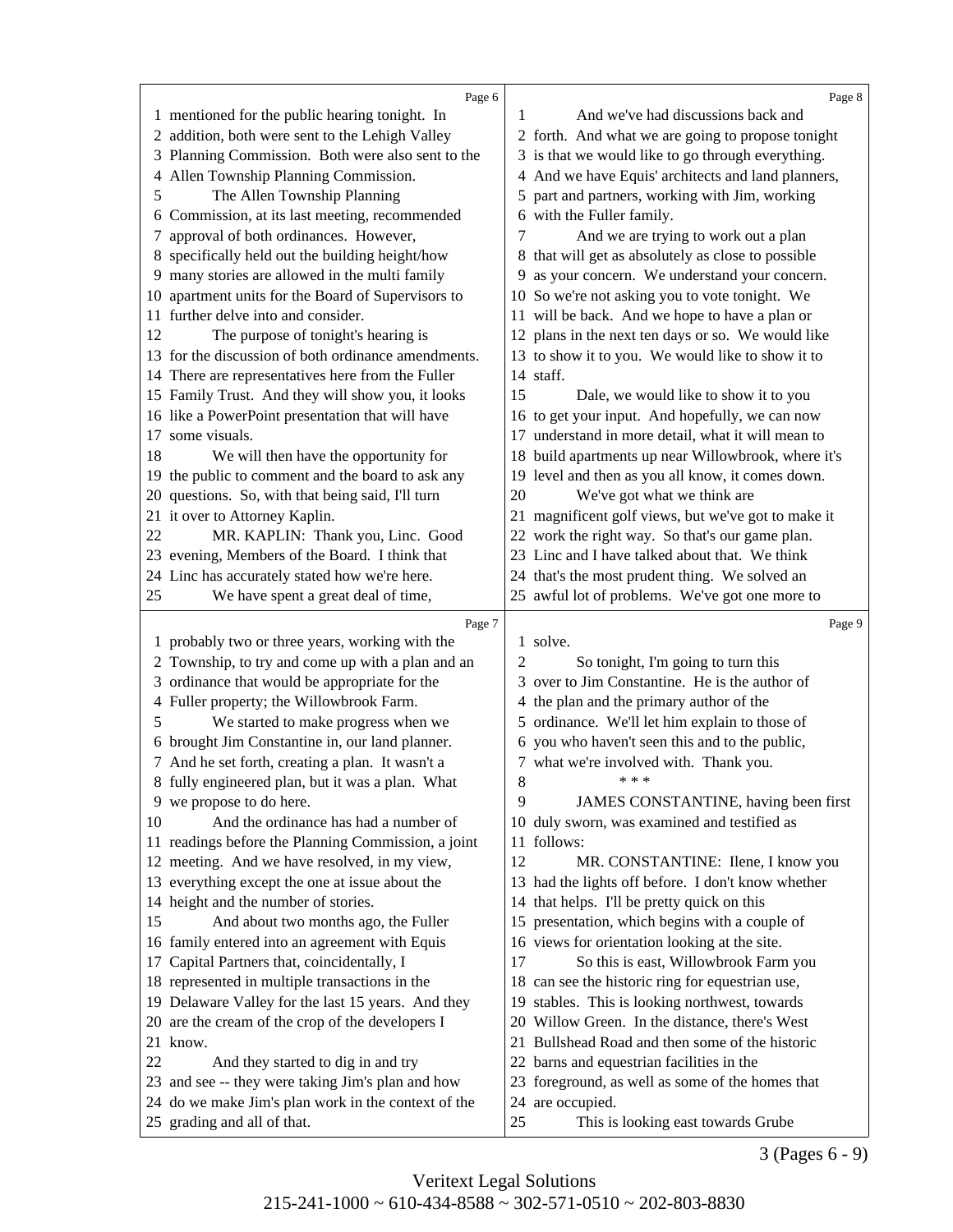<span id="page-5-0"></span>

|         | Page 6                                                                                                   |       | Page 8                                                               |
|---------|----------------------------------------------------------------------------------------------------------|-------|----------------------------------------------------------------------|
|         | 1 mentioned for the public hearing tonight. In                                                           | 1     | And we've had discussions back and                                   |
|         | 2 addition, both were sent to the Lehigh Valley                                                          |       | 2 forth. And what we are going to propose tonight                    |
| 3       | Planning Commission. Both were also sent to the                                                          |       | 3 is that we would like to go through everything.                    |
| 4       | Allen Township Planning Commission.                                                                      |       | 4 And we have Equis' architects and land planners,                   |
| 5       | The Allen Township Planning                                                                              |       | 5 part and partners, working with Jim, working                       |
| 6       | Commission, at its last meeting, recommended                                                             |       | 6 with the Fuller family.                                            |
| 7       | approval of both ordinances. However,                                                                    |       | And we are trying to work out a plan                                 |
| 8       | specifically held out the building height/how                                                            |       | 8 that will get as absolutely as close to possible                   |
|         | 9 many stories are allowed in the multi family                                                           |       | 9 as your concern. We understand your concern.                       |
| 10      | apartment units for the Board of Supervisors to                                                          |       | 10 So we're not asking you to vote tonight. We                       |
| 11      | further delve into and consider.                                                                         |       | 11 will be back. And we hope to have a plan or                       |
| 12      | The purpose of tonight's hearing is                                                                      |       | 12 plans in the next ten days or so. We would like                   |
|         | 13 for the discussion of both ordinance amendments.                                                      |       | 13 to show it to you. We would like to show it to                    |
|         | 14 There are representatives here from the Fuller                                                        |       | 14 staff.                                                            |
|         | 15 Family Trust. And they will show you, it looks                                                        | 15    | Dale, we would like to show it to you                                |
|         | 16 like a PowerPoint presentation that will have                                                         |       | 16 to get your input. And hopefully, we can now                      |
| 17      | some visuals.                                                                                            |       | 17 understand in more detail, what it will mean to                   |
| 18      | We will then have the opportunity for                                                                    |       | 18 build apartments up near Willowbrook, where it's                  |
|         | 19 the public to comment and the board to ask any                                                        |       | 19 level and then as you all know, it comes down.                    |
| 20      | questions. So, with that being said, I'll turn                                                           | 20    | We've got what we think are                                          |
|         | 21 it over to Attorney Kaplin.                                                                           |       | 21 magnificent golf views, but we've got to make it                  |
| 22      | MR. KAPLIN: Thank you, Linc. Good                                                                        |       | 22 work the right way. So that's our game plan.                      |
|         | 23 evening, Members of the Board. I think that                                                           |       | 23 Linc and I have talked about that. We think                       |
|         | 24 Linc has accurately stated how we're here.                                                            |       | 24 that's the most prudent thing. We solved an                       |
| 25      | We have spent a great deal of time,                                                                      |       | 25 awful lot of problems. We've got one more to                      |
|         |                                                                                                          |       |                                                                      |
|         |                                                                                                          |       |                                                                      |
|         | Page 7                                                                                                   |       | Page 9                                                               |
| $\perp$ | probably two or three years, working with the                                                            |       | 1 solve.                                                             |
| 2       | Township, to try and come up with a plan and an                                                          | 2     | So tonight, I'm going to turn this                                   |
|         | 3 ordinance that would be appropriate for the                                                            |       | 3 over to Jim Constantine. He is the author of                       |
|         | 4 Fuller property; the Willowbrook Farm.                                                                 |       | 4 the plan and the primary author of the                             |
| 5       | We started to make progress when we                                                                      |       | 5 ordinance. We'll let him explain to those of                       |
|         | 6 brought Jim Constantine in, our land planner.                                                          |       | 6 you who haven't seen this and to the public,                       |
|         | 7 And he set forth, creating a plan. It wasn't a                                                         |       | 7 what we're involved with. Thank you.<br>$* * *$                    |
|         | 8 fully engineered plan, but it was a plan. What                                                         | $8\,$ |                                                                      |
|         | 9 we propose to do here.                                                                                 | 9     | JAMES CONSTANTINE, having been first                                 |
| 10      | And the ordinance has had a number of                                                                    |       | 10 duly sworn, was examined and testified as                         |
|         | 11 readings before the Planning Commission, a joint                                                      |       | 11 follows:                                                          |
|         | 12 meeting. And we have resolved, in my view,                                                            | 12    | MR. CONSTANTINE: Ilene, I know you                                   |
|         | 13 everything except the one at issue about the                                                          |       | 13 had the lights off before. I don't know whether                   |
|         | 14 height and the number of stories.                                                                     |       | 14 that helps. I'll be pretty quick on this                          |
| 15      | And about two months ago, the Fuller                                                                     |       | 15 presentation, which begins with a couple of                       |
|         | 16 family entered into an agreement with Equis                                                           |       | 16 views for orientation looking at the site.                        |
| 17      | Capital Partners that, coincidentally, I                                                                 | 17    | So this is east, Willowbrook Farm you                                |
|         | 18 represented in multiple transactions in the                                                           |       | 18 can see the historic ring for equestrian use,                     |
|         | 19 Delaware Valley for the last 15 years. And they                                                       |       | 19 stables. This is looking northwest, towards                       |
|         | 20 are the cream of the crop of the developers I                                                         |       | 20 Willow Green. In the distance, there's West                       |
|         | 21 know.                                                                                                 |       | 21 Bullshead Road and then some of the historic                      |
| 22      | And they started to dig in and try                                                                       |       | 22 barns and equestrian facilities in the                            |
|         | 23 and see -- they were taking Jim's plan and how<br>24 do we make Jim's plan work in the context of the |       | 23 foreground, as well as some of the homes that<br>24 are occupied. |

3 (Pages 6 - 9)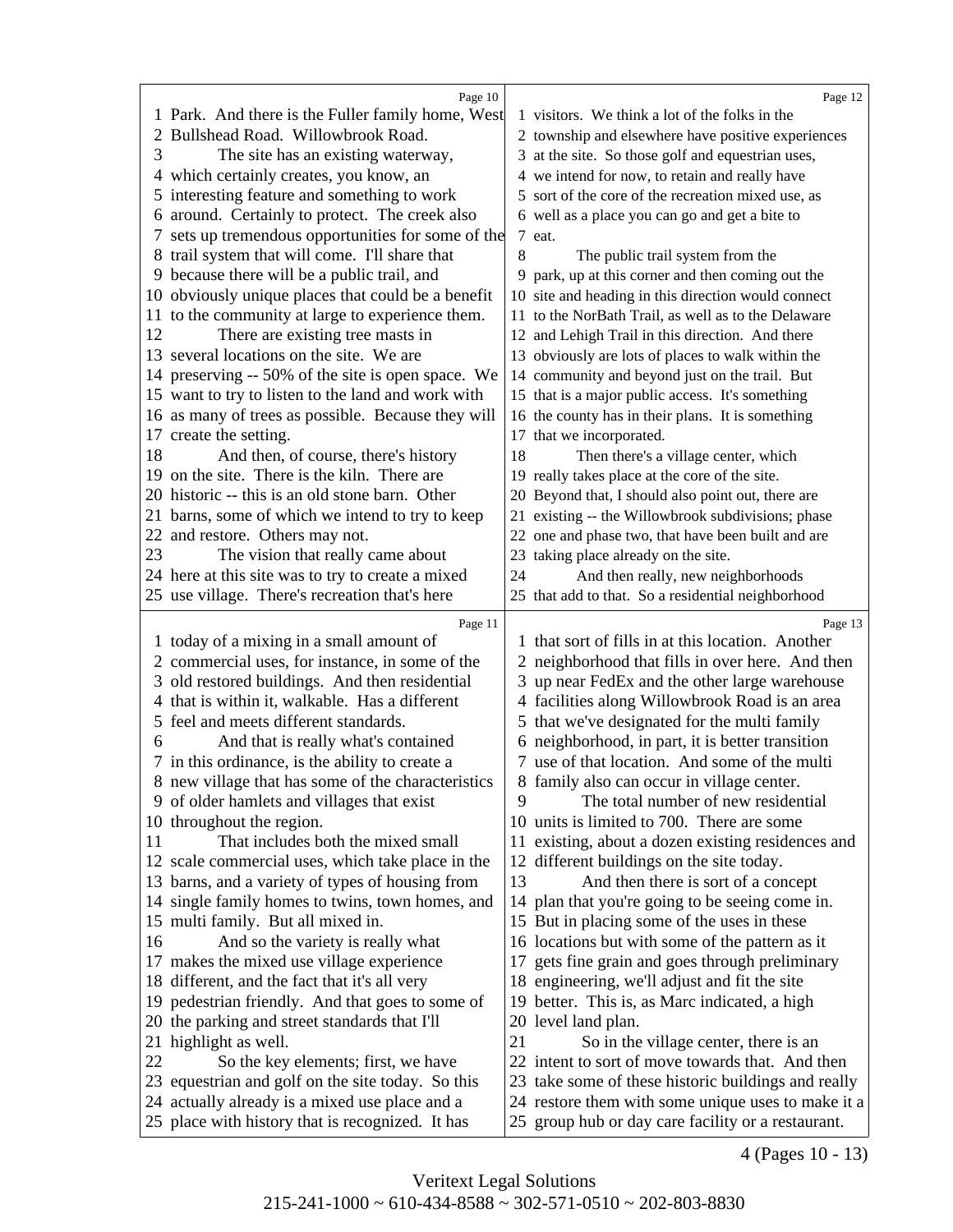<span id="page-6-0"></span>

|    | Page 10                                                                                            |    | Page 12                                                                                                  |
|----|----------------------------------------------------------------------------------------------------|----|----------------------------------------------------------------------------------------------------------|
|    | 1 Park. And there is the Fuller family home, West                                                  |    | 1 visitors. We think a lot of the folks in the                                                           |
|    | 2 Bullshead Road. Willowbrook Road.                                                                |    | 2 township and elsewhere have positive experiences                                                       |
| 3  | The site has an existing waterway,                                                                 |    | 3 at the site. So those golf and equestrian uses,                                                        |
|    |                                                                                                    |    |                                                                                                          |
|    | 4 which certainly creates, you know, an                                                            |    | 4 we intend for now, to retain and really have                                                           |
|    | 5 interesting feature and something to work                                                        |    | 5 sort of the core of the recreation mixed use, as                                                       |
|    | 6 around. Certainly to protect. The creek also                                                     |    | 6 well as a place you can go and get a bite to                                                           |
|    | sets up tremendous opportunities for some of the                                                   |    | 7 eat.                                                                                                   |
|    | 8 trail system that will come. I'll share that                                                     | 8  | The public trail system from the                                                                         |
| 9  | because there will be a public trail, and                                                          |    | 9 park, up at this corner and then coming out the                                                        |
|    | 10 obviously unique places that could be a benefit                                                 |    | 10 site and heading in this direction would connect                                                      |
|    | 11 to the community at large to experience them.                                                   |    | 11 to the NorBath Trail, as well as to the Delaware                                                      |
| 12 | There are existing tree masts in                                                                   |    | 12 and Lehigh Trail in this direction. And there                                                         |
|    | 13 several locations on the site. We are                                                           |    | 13 obviously are lots of places to walk within the                                                       |
|    | 14 preserving -- 50% of the site is open space. We                                                 |    | 14 community and beyond just on the trail. But                                                           |
|    | 15 want to try to listen to the land and work with                                                 |    | 15 that is a major public access. It's something                                                         |
|    | 16 as many of trees as possible. Because they will                                                 |    | 16 the county has in their plans. It is something                                                        |
|    | 17 create the setting.                                                                             |    | 17 that we incorporated.                                                                                 |
| 18 | And then, of course, there's history                                                               | 18 | Then there's a village center, which                                                                     |
|    | 19 on the site. There is the kiln. There are                                                       |    | 19 really takes place at the core of the site.                                                           |
|    | 20 historic -- this is an old stone barn. Other                                                    |    | 20 Beyond that, I should also point out, there are                                                       |
|    | 21 barns, some of which we intend to try to keep                                                   |    | 21 existing -- the Willowbrook subdivisions; phase                                                       |
|    | 22 and restore. Others may not.                                                                    |    | 22 one and phase two, that have been built and are                                                       |
| 23 | The vision that really came about                                                                  |    | 23 taking place already on the site.                                                                     |
|    | 24 here at this site was to try to create a mixed                                                  | 24 | And then really, new neighborhoods                                                                       |
|    | 25 use village. There's recreation that's here                                                     |    | 25 that add to that. So a residential neighborhood                                                       |
|    |                                                                                                    |    |                                                                                                          |
|    |                                                                                                    |    |                                                                                                          |
|    | Page 11                                                                                            |    | Page 13                                                                                                  |
|    | 1 today of a mixing in a small amount of                                                           |    | 1 that sort of fills in at this location. Another                                                        |
|    | 2 commercial uses, for instance, in some of the                                                    |    | 2 neighborhood that fills in over here. And then                                                         |
| 3  | old restored buildings. And then residential                                                       | 3  | up near FedEx and the other large warehouse                                                              |
|    | 4 that is within it, walkable. Has a different                                                     |    | 4 facilities along Willowbrook Road is an area                                                           |
|    | 5 feel and meets different standards.                                                              |    | 5 that we've designated for the multi family                                                             |
| 6  | And that is really what's contained                                                                |    | 6 neighborhood, in part, it is better transition                                                         |
|    | 7 in this ordinance, is the ability to create a                                                    |    | 7 use of that location. And some of the multi                                                            |
|    | 8 new village that has some of the characteristics                                                 |    |                                                                                                          |
|    |                                                                                                    | 9  | 8 family also can occur in village center.                                                               |
|    | 9 of older hamlets and villages that exist                                                         |    | The total number of new residential                                                                      |
|    | 10 throughout the region.                                                                          |    | 10 units is limited to 700. There are some                                                               |
| 11 | That includes both the mixed small                                                                 |    | 11 existing, about a dozen existing residences and                                                       |
|    | 12 scale commercial uses, which take place in the                                                  |    | 12 different buildings on the site today.                                                                |
|    | 13 barns, and a variety of types of housing from                                                   | 13 | And then there is sort of a concept                                                                      |
|    | 14 single family homes to twins, town homes, and                                                   |    | 14 plan that you're going to be seeing come in.                                                          |
|    | 15 multi family. But all mixed in.                                                                 |    | 15 But in placing some of the uses in these                                                              |
| 16 | And so the variety is really what                                                                  |    | 16 locations but with some of the pattern as it                                                          |
|    | 17 makes the mixed use village experience                                                          |    | 17 gets fine grain and goes through preliminary                                                          |
|    | 18 different, and the fact that it's all very                                                      |    | 18 engineering, we'll adjust and fit the site                                                            |
|    | 19 pedestrian friendly. And that goes to some of                                                   |    | 19 better. This is, as Marc indicated, a high                                                            |
|    | 20 the parking and street standards that I'll                                                      |    | 20 level land plan.                                                                                      |
|    | 21 highlight as well.                                                                              | 21 | So in the village center, there is an                                                                    |
| 22 | So the key elements; first, we have                                                                |    | 22 intent to sort of move towards that. And then                                                         |
|    | 23 equestrian and golf on the site today. So this                                                  |    | 23 take some of these historic buildings and really                                                      |
|    | 24 actually already is a mixed use place and a<br>25 place with history that is recognized. It has |    | 24 restore them with some unique uses to make it a<br>25 group hub or day care facility or a restaurant. |

4 (Pages 10 - 13)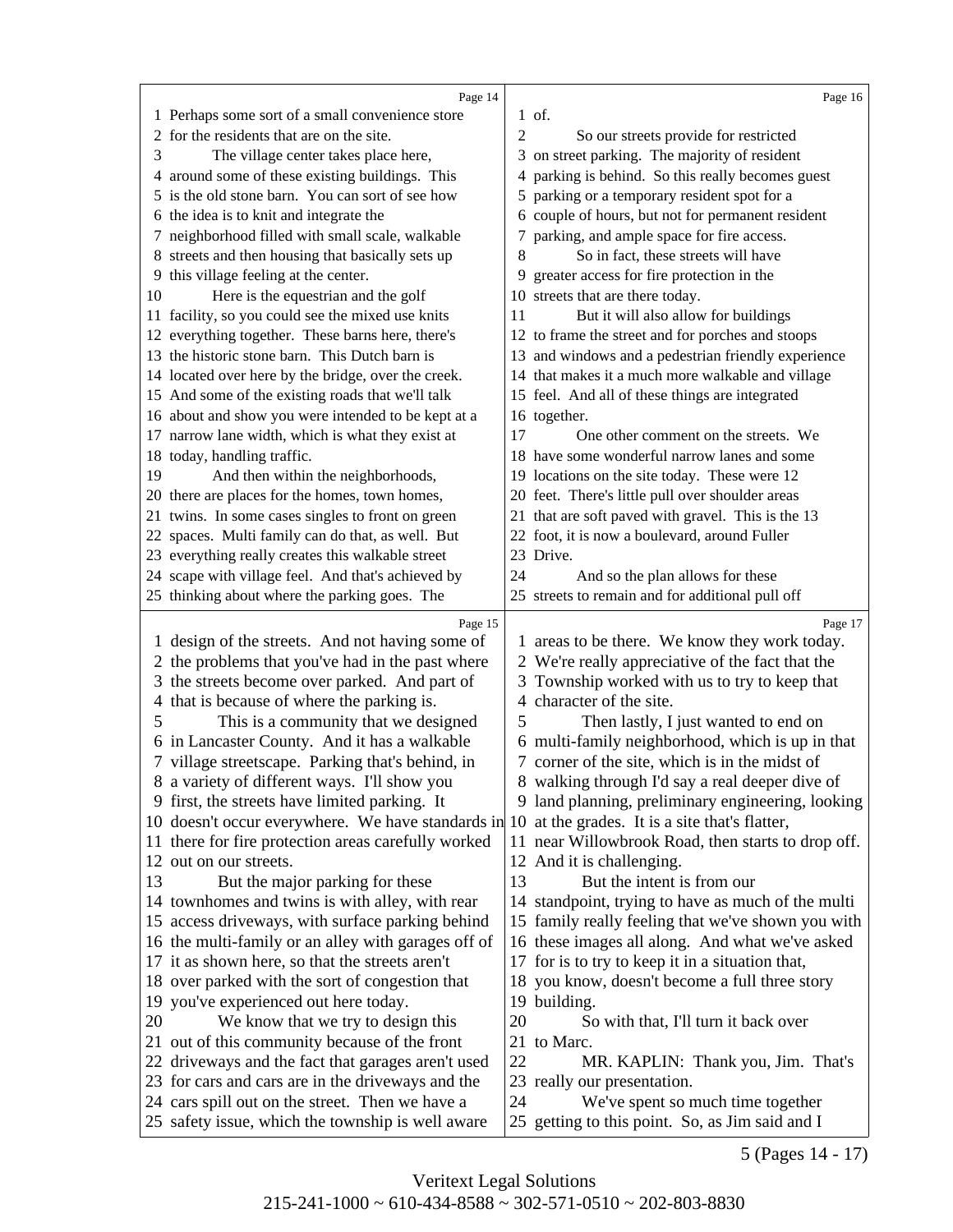<span id="page-7-0"></span>

|    | Page 14                                                                                              |    | Page 16                                                                              |
|----|------------------------------------------------------------------------------------------------------|----|--------------------------------------------------------------------------------------|
|    | 1 Perhaps some sort of a small convenience store                                                     |    | 1 of.                                                                                |
| 2  | for the residents that are on the site.                                                              | 2  | So our streets provide for restricted                                                |
| 3  | The village center takes place here,                                                                 |    | 3 on street parking. The majority of resident                                        |
|    | 4 around some of these existing buildings. This                                                      |    | 4 parking is behind. So this really becomes guest                                    |
| 5  | is the old stone barn. You can sort of see how                                                       | 5. | parking or a temporary resident spot for a                                           |
|    | 6 the idea is to knit and integrate the                                                              |    | 6 couple of hours, but not for permanent resident                                    |
|    | 7 neighborhood filled with small scale, walkable                                                     |    | parking, and ample space for fire access.                                            |
|    | 8 streets and then housing that basically sets up                                                    | 8  | So in fact, these streets will have                                                  |
|    | 9 this village feeling at the center.                                                                | 9  | greater access for fire protection in the                                            |
| 10 | Here is the equestrian and the golf                                                                  |    | 10 streets that are there today.                                                     |
|    | 11 facility, so you could see the mixed use knits                                                    | 11 | But it will also allow for buildings                                                 |
|    | 12 everything together. These barns here, there's                                                    |    | 12 to frame the street and for porches and stoops                                    |
|    | 13 the historic stone barn. This Dutch barn is                                                       |    | 13 and windows and a pedestrian friendly experience                                  |
|    | 14 located over here by the bridge, over the creek.                                                  |    | 14 that makes it a much more walkable and village                                    |
|    | 15 And some of the existing roads that we'll talk                                                    |    | 15 feel. And all of these things are integrated                                      |
|    | 16 about and show you were intended to be kept at a                                                  |    | 16 together.                                                                         |
|    | 17 narrow lane width, which is what they exist at                                                    | 17 | One other comment on the streets. We                                                 |
|    | 18 today, handling traffic.                                                                          |    | 18 have some wonderful narrow lanes and some                                         |
| 19 | And then within the neighborhoods,                                                                   |    | 19 locations on the site today. These were 12                                        |
|    | 20 there are places for the homes, town homes,                                                       |    | 20 feet. There's little pull over shoulder areas                                     |
|    | 21 twins. In some cases singles to front on green                                                    |    | 21 that are soft paved with gravel. This is the 13                                   |
|    | 22 spaces. Multi family can do that, as well. But                                                    |    | 22 foot, it is now a boulevard, around Fuller                                        |
|    | 23 everything really creates this walkable street                                                    |    | 23 Drive.                                                                            |
|    | 24 scape with village feel. And that's achieved by                                                   | 24 | And so the plan allows for these                                                     |
|    | 25 thinking about where the parking goes. The                                                        |    | 25 streets to remain and for additional pull off                                     |
|    |                                                                                                      |    |                                                                                      |
|    |                                                                                                      |    |                                                                                      |
|    | Page 15                                                                                              |    | Page 17                                                                              |
| 1  | design of the streets. And not having some of                                                        |    | 1 areas to be there. We know they work today.                                        |
| 2  | the problems that you've had in the past where                                                       |    | 2 We're really appreciative of the fact that the                                     |
| 3  | the streets become over parked. And part of                                                          |    | 3 Township worked with us to try to keep that                                        |
| 4  | that is because of where the parking is.                                                             |    | 4 character of the site.                                                             |
| 5  | This is a community that we designed                                                                 | 5  | Then lastly, I just wanted to end on                                                 |
|    | 6 in Lancaster County. And it has a walkable                                                         |    | 6 multi-family neighborhood, which is up in that                                     |
|    | 7 village streetscape. Parking that's behind, in                                                     |    | 7 corner of the site, which is in the midst of                                       |
|    | 8 a variety of different ways. I'll show you                                                         |    | 8 walking through I'd say a real deeper dive of                                      |
|    | 9 first, the streets have limited parking. It                                                        |    | 9 land planning, preliminary engineering, looking                                    |
|    | 10 doesn't occur everywhere. We have standards in 10 at the grades. It is a site that's flatter,     |    |                                                                                      |
|    | 11 there for fire protection areas carefully worked                                                  |    | 11 near Willowbrook Road, then starts to drop off.                                   |
|    | 12 out on our streets.                                                                               |    | 12 And it is challenging.                                                            |
| 13 | But the major parking for these                                                                      | 13 | But the intent is from our                                                           |
|    | 14 townhomes and twins is with alley, with rear                                                      |    | 14 standpoint, trying to have as much of the multi                                   |
|    | 15 access driveways, with surface parking behind                                                     |    | 15 family really feeling that we've shown you with                                   |
|    | 16 the multi-family or an alley with garages off of                                                  |    | 16 these images all along. And what we've asked                                      |
|    | 17 it as shown here, so that the streets aren't                                                      |    | 17 for is to try to keep it in a situation that,                                     |
|    | 18 over parked with the sort of congestion that                                                      |    | 18 you know, doesn't become a full three story                                       |
|    | 19 you've experienced out here today.                                                                |    | 19 building.                                                                         |
| 20 | We know that we try to design this                                                                   | 20 | So with that, I'll turn it back over                                                 |
|    | 21 out of this community because of the front                                                        |    | 21 to Marc.                                                                          |
|    | 22 driveways and the fact that garages aren't used                                                   | 22 | MR. KAPLIN: Thank you, Jim. That's                                                   |
|    | 23 for cars and cars are in the driveways and the                                                    |    | 23 really our presentation.                                                          |
|    | 24 cars spill out on the street. Then we have a<br>25 safety issue, which the township is well aware | 24 | We've spent so much time together<br>25 getting to this point. So, as Jim said and I |

5 (Pages 14 - 17)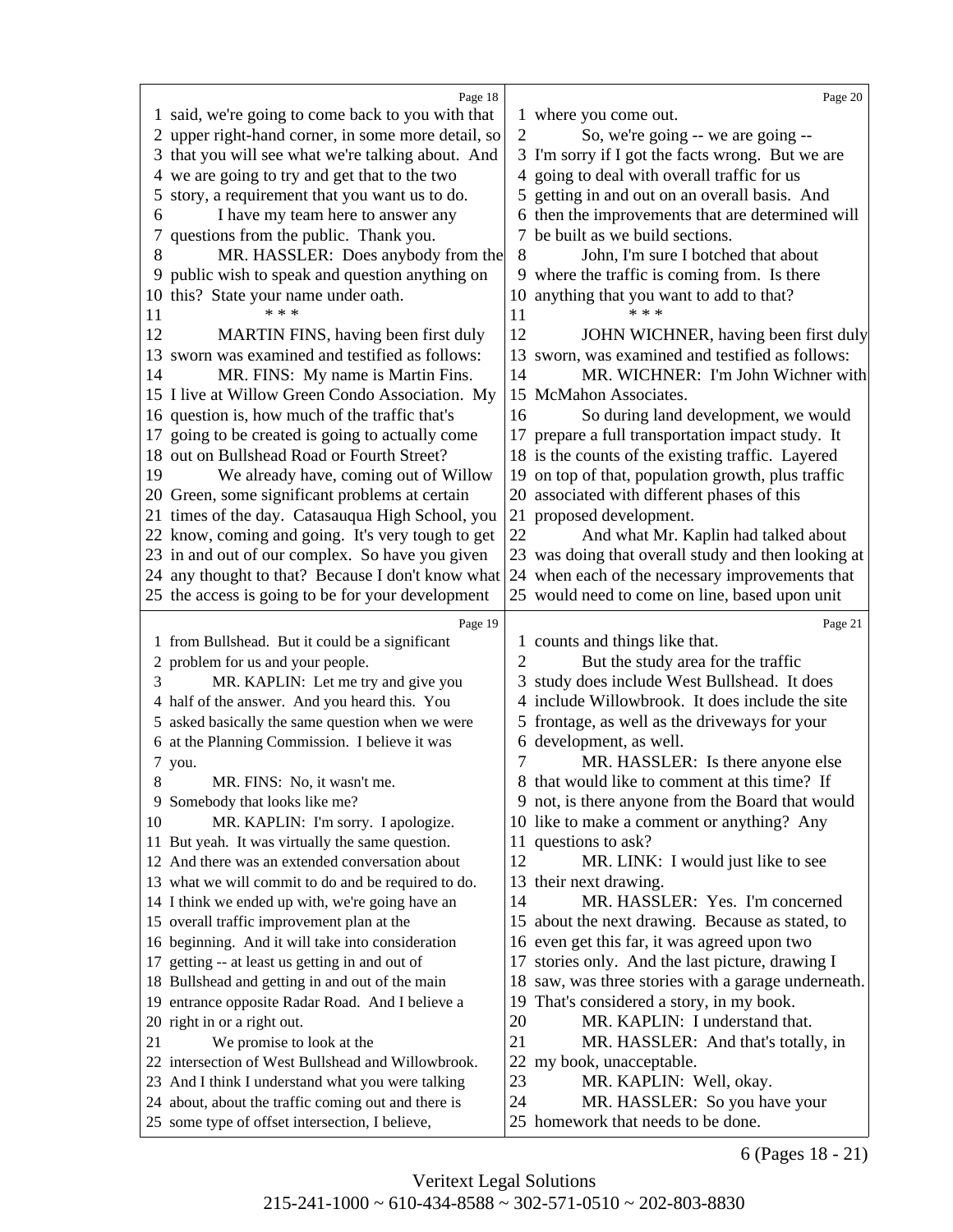<span id="page-8-0"></span>

|    | Page 18                                                                                                |                | Page 20                                                             |
|----|--------------------------------------------------------------------------------------------------------|----------------|---------------------------------------------------------------------|
|    | 1 said, we're going to come back to you with that                                                      |                | 1 where you come out.                                               |
|    | 2 upper right-hand corner, in some more detail, so                                                     | $\mathfrak{2}$ | So, we're going -- we are going --                                  |
| 3  | that you will see what we're talking about. And                                                        |                | 3 I'm sorry if I got the facts wrong. But we are                    |
| 4  | we are going to try and get that to the two                                                            | 4              | going to deal with overall traffic for us                           |
| 5  | story, a requirement that you want us to do.                                                           | 5              | getting in and out on an overall basis. And                         |
| 6  | I have my team here to answer any                                                                      |                | 6 then the improvements that are determined will                    |
| 7  | questions from the public. Thank you.                                                                  |                | be built as we build sections.                                      |
| 8  | MR. HASSLER: Does anybody from the                                                                     | 8              | John, I'm sure I botched that about                                 |
| 9  | public wish to speak and question anything on                                                          | 9              | where the traffic is coming from. Is there                          |
| 10 | this? State your name under oath.                                                                      | 10             | anything that you want to add to that?                              |
| 11 | * * *                                                                                                  | 11             | * * *                                                               |
| 12 | MARTIN FINS, having been first duly                                                                    | 12             | JOHN WICHNER, having been first duly                                |
|    | 13 sworn was examined and testified as follows:                                                        |                | 13 sworn, was examined and testified as follows:                    |
| 14 | MR. FINS: My name is Martin Fins.                                                                      | 14             | MR. WICHNER: I'm John Wichner with                                  |
|    | 15 I live at Willow Green Condo Association. My                                                        |                | 15 McMahon Associates.                                              |
|    | 16 question is, how much of the traffic that's                                                         | 16             | So during land development, we would                                |
| 17 | going to be created is going to actually come                                                          |                | 17 prepare a full transportation impact study. It                   |
|    | 18 out on Bullshead Road or Fourth Street?                                                             |                | 18 is the counts of the existing traffic. Layered                   |
| 19 | We already have, coming out of Willow                                                                  |                | 19 on top of that, population growth, plus traffic                  |
|    | 20 Green, some significant problems at certain                                                         |                | 20 associated with different phases of this                         |
|    | 21 times of the day. Catasauqua High School, you                                                       |                | 21 proposed development.                                            |
|    | 22 know, coming and going. It's very tough to get                                                      | 22             | And what Mr. Kaplin had talked about                                |
|    | 23 in and out of our complex. So have you given                                                        |                | 23 was doing that overall study and then looking at                 |
|    | 24 any thought to that? Because I don't know what                                                      |                | 24 when each of the necessary improvements that                     |
|    | 25 the access is going to be for your development                                                      |                | 25 would need to come on line, based upon unit                      |
|    | Page 19                                                                                                |                | Page 21                                                             |
|    | 1 from Bullshead. But it could be a significant                                                        |                | 1 counts and things like that.                                      |
| 2  | problem for us and your people.                                                                        | 2              | But the study area for the traffic                                  |
| 3  | MR. KAPLIN: Let me try and give you                                                                    | 3              | study does include West Bullshead. It does                          |
| 4  | half of the answer. And you heard this. You                                                            | 4              | include Willowbrook. It does include the site                       |
|    | 5 asked basically the same question when we were                                                       |                | frontage, as well as the driveways for your                         |
|    | 6 at the Planning Commission. I believe it was                                                         |                | 6 development, as well.                                             |
|    | 7 you.                                                                                                 | 7              | MR. HASSLER: Is there anyone else                                   |
| 8  | MR. FINS: No, it wasn't me.                                                                            |                | 8 that would like to comment at this time? If                       |
|    | 9 Somebody that looks like me?                                                                         |                | 9 not, is there anyone from the Board that would                    |
| 10 | MR. KAPLIN: I'm sorry. I apologize.                                                                    |                | 10 like to make a comment or anything? Any                          |
|    | 11 But yeah. It was virtually the same question.                                                       |                | 11 questions to ask?                                                |
|    | 12 And there was an extended conversation about                                                        | 12             | MR. LINK: I would just like to see                                  |
|    | 13 what we will commit to do and be required to do.                                                    |                | 13 their next drawing.                                              |
|    | 14 I think we ended up with, we're going have an                                                       | 14             | MR. HASSLER: Yes. I'm concerned                                     |
|    | 15 overall traffic improvement plan at the                                                             |                | 15 about the next drawing. Because as stated, to                    |
|    | 16 beginning. And it will take into consideration                                                      |                | 16 even get this far, it was agreed upon two                        |
| 17 | getting -- at least us getting in and out of                                                           | 17             | stories only. And the last picture, drawing I                       |
|    | 18 Bullshead and getting in and out of the main                                                        |                | 18 saw, was three stories with a garage underneath.                 |
|    | 19 entrance opposite Radar Road. And I believe a                                                       |                | 19 That's considered a story, in my book.                           |
|    | 20 right in or a right out.                                                                            | 20             | MR. KAPLIN: I understand that.                                      |
| 21 | We promise to look at the                                                                              | 21             | MR. HASSLER: And that's totally, in                                 |
|    | 22 intersection of West Bullshead and Willowbrook.                                                     | 22             | my book, unacceptable.                                              |
|    | 23 And I think I understand what you were talking                                                      | 23             | MR. KAPLIN: Well, okay.                                             |
|    |                                                                                                        |                |                                                                     |
|    |                                                                                                        | 24             |                                                                     |
|    | 24 about, about the traffic coming out and there is<br>25 some type of offset intersection, I believe, |                | MR. HASSLER: So you have your<br>25 homework that needs to be done. |

6 (Pages 18 - 21)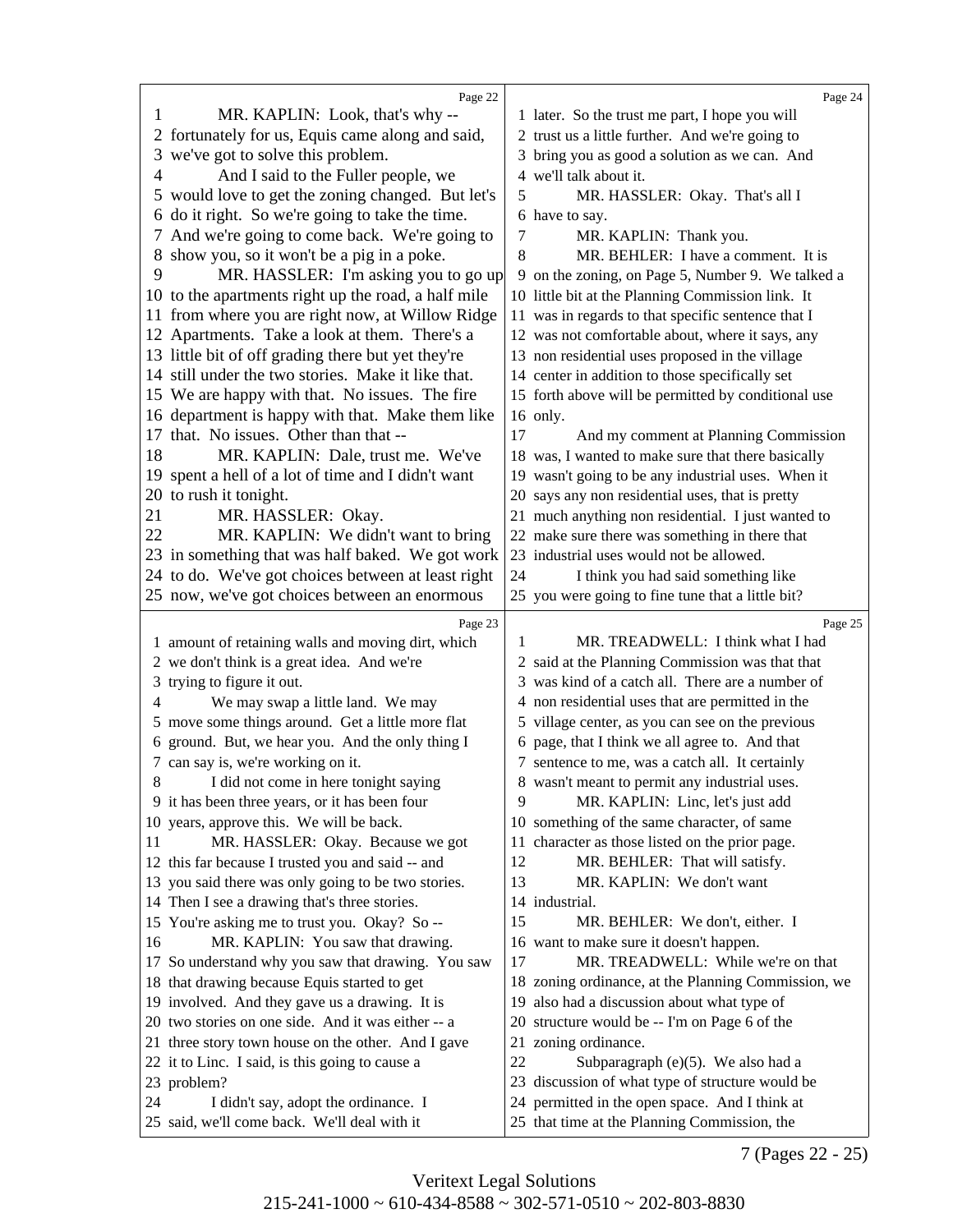<span id="page-9-0"></span>

|    | Page 22                                                                              |        | Page 24                                                                                        |
|----|--------------------------------------------------------------------------------------|--------|------------------------------------------------------------------------------------------------|
|    | MR. KAPLIN: Look, that's why --                                                      |        | 1 later. So the trust me part, I hope you will                                                 |
|    | 2 fortunately for us, Equis came along and said,                                     |        | 2 trust us a little further. And we're going to                                                |
|    | 3 we've got to solve this problem.                                                   |        | 3 bring you as good a solution as we can. And                                                  |
| 4  | And I said to the Fuller people, we                                                  |        | 4 we'll talk about it.                                                                         |
|    | 5 would love to get the zoning changed. But let's                                    | 5      | MR. HASSLER: Okay. That's all I                                                                |
| 6  | do it right. So we're going to take the time.                                        |        | 6 have to say.                                                                                 |
|    | 7 And we're going to come back. We're going to                                       | 7      | MR. KAPLIN: Thank you.                                                                         |
| 8  | show you, so it won't be a pig in a poke.                                            | 8      | MR. BEHLER: I have a comment. It is                                                            |
| 9  | MR. HASSLER: I'm asking you to go up                                                 |        | 9 on the zoning, on Page 5, Number 9. We talked a                                              |
|    | 10 to the apartments right up the road, a half mile                                  |        | 10 little bit at the Planning Commission link. It                                              |
|    | 11 from where you are right now, at Willow Ridge                                     |        | 11 was in regards to that specific sentence that I                                             |
|    | 12 Apartments. Take a look at them. There's a                                        |        | 12 was not comfortable about, where it says, any                                               |
|    | 13 little bit of off grading there but yet they're                                   |        | 13 non residential uses proposed in the village                                                |
|    | 14 still under the two stories. Make it like that.                                   |        | 14 center in addition to those specifically set                                                |
|    | 15 We are happy with that. No issues. The fire                                       |        | 15 forth above will be permitted by conditional use                                            |
|    | 16 department is happy with that. Make them like                                     |        | 16 only.                                                                                       |
|    | 17 that. No issues. Other than that --                                               | 17     | And my comment at Planning Commission                                                          |
| 18 | MR. KAPLIN: Dale, trust me. We've                                                    |        | 18 was, I wanted to make sure that there basically                                             |
|    | 19 spent a hell of a lot of time and I didn't want                                   |        | 19 wasn't going to be any industrial uses. When it                                             |
|    | 20 to rush it tonight.                                                               |        | 20 says any non residential uses, that is pretty                                               |
| 21 | MR. HASSLER: Okay.                                                                   |        | 21 much anything non residential. I just wanted to                                             |
| 22 | MR. KAPLIN: We didn't want to bring                                                  |        | 22 make sure there was something in there that                                                 |
|    | 23 in something that was half baked. We got work                                     |        | 23 industrial uses would not be allowed.                                                       |
|    | 24 to do. We've got choices between at least right                                   | 24     | I think you had said something like                                                            |
|    | 25 now, we've got choices between an enormous                                        |        | 25 you were going to fine tune that a little bit?                                              |
|    |                                                                                      |        |                                                                                                |
|    |                                                                                      |        |                                                                                                |
|    | Page 23                                                                              |        | Page 25                                                                                        |
|    | 1 amount of retaining walls and moving dirt, which                                   | 1      | MR. TREADWELL: I think what I had                                                              |
|    | 2 we don't think is a great idea. And we're                                          |        | 2 said at the Planning Commission was that that                                                |
|    | 3 trying to figure it out.                                                           |        | 3 was kind of a catch all. There are a number of                                               |
| 4  | We may swap a little land. We may                                                    |        | 4 non residential uses that are permitted in the                                               |
|    | 5 move some things around. Get a little more flat                                    |        | 5 village center, as you can see on the previous                                               |
|    | 6 ground. But, we hear you. And the only thing I                                     |        | 6 page, that I think we all agree to. And that                                                 |
|    | 7 can say is, we're working on it.                                                   |        | 7 sentence to me, was a catch all. It certainly                                                |
|    | I did not come in here tonight saying                                                |        | 8 wasn't meant to permit any industrial uses.                                                  |
|    | 9 it has been three years, or it has been four                                       | 9      | MR. KAPLIN: Linc, let's just add                                                               |
|    | 10 years, approve this. We will be back.                                             |        | 10 something of the same character, of same                                                    |
| 11 | MR. HASSLER: Okay. Because we got                                                    |        | 11 character as those listed on the prior page.                                                |
|    | 12 this far because I trusted you and said -- and                                    | 12     | MR. BEHLER: That will satisfy.                                                                 |
|    | 13 you said there was only going to be two stories.                                  | 13     | MR. KAPLIN: We don't want                                                                      |
|    | 14 Then I see a drawing that's three stories.                                        |        | 14 industrial.                                                                                 |
|    | 15 You're asking me to trust you. Okay? So --                                        | 15     | MR. BEHLER: We don't, either. I                                                                |
| 16 | MR. KAPLIN: You saw that drawing.                                                    |        | 16 want to make sure it doesn't happen.                                                        |
|    | 17 So understand why you saw that drawing. You saw                                   | 17     | MR. TREADWELL: While we're on that                                                             |
|    | 18 that drawing because Equis started to get                                         |        | 18 zoning ordinance, at the Planning Commission, we                                            |
|    | 19 involved. And they gave us a drawing. It is                                       | 19     | also had a discussion about what type of                                                       |
|    | 20 two stories on one side. And it was either -- a                                   |        | 20 structure would be -- I'm on Page 6 of the                                                  |
|    | 21 three story town house on the other. And I gave                                   |        | 21 zoning ordinance.                                                                           |
|    | 22 it to Linc. I said, is this going to cause a                                      | $22\,$ | Subparagraph $(e)(5)$ . We also had a                                                          |
|    | 23 problem?                                                                          |        | 23 discussion of what type of structure would be                                               |
| 24 | I didn't say, adopt the ordinance. I<br>25 said, we'll come back. We'll deal with it |        | 24 permitted in the open space. And I think at<br>25 that time at the Planning Commission, the |

7 (Pages 22 - 25)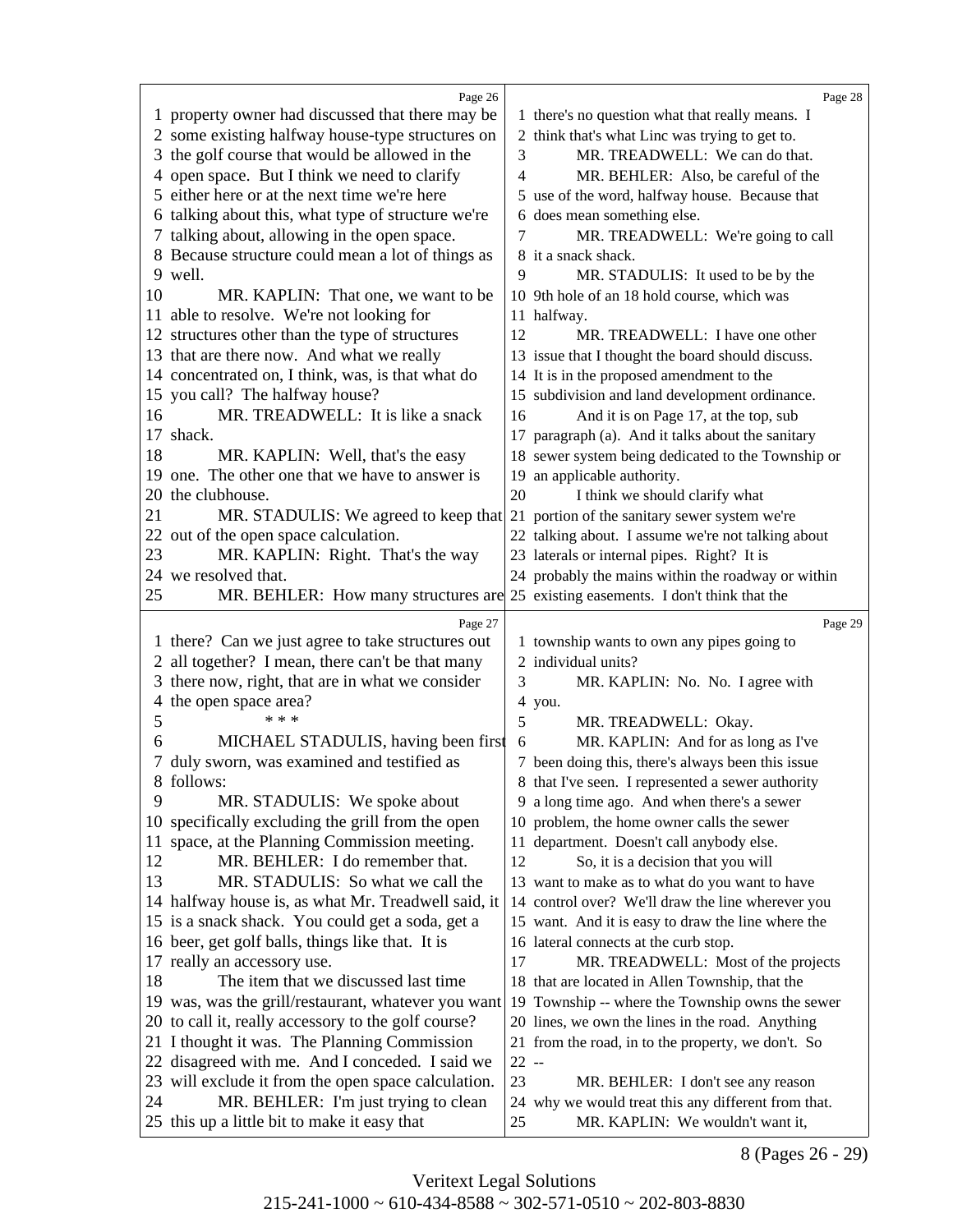<span id="page-10-0"></span>

|    | Page 26                                                                           |                | Page 28                                             |
|----|-----------------------------------------------------------------------------------|----------------|-----------------------------------------------------|
|    |                                                                                   |                |                                                     |
|    | 1 property owner had discussed that there may be                                  |                | 1 there's no question what that really means. I     |
|    | 2 some existing halfway house-type structures on                                  |                | 2 think that's what Linc was trying to get to.      |
| 3  | the golf course that would be allowed in the                                      | 3              | MR. TREADWELL: We can do that.                      |
|    | 4 open space. But I think we need to clarify                                      | $\overline{4}$ | MR. BEHLER: Also, be careful of the                 |
| 5. | either here or at the next time we're here                                        |                | 5 use of the word, halfway house. Because that      |
| 6  | talking about this, what type of structure we're                                  |                | 6 does mean something else.                         |
| 7  | talking about, allowing in the open space.                                        | 7              | MR. TREADWELL: We're going to call                  |
| 8  | Because structure could mean a lot of things as                                   |                | 8 it a snack shack.                                 |
|    | 9 well.                                                                           | 9              | MR. STADULIS: It used to be by the                  |
| 10 | MR. KAPLIN: That one, we want to be                                               |                | 10 9th hole of an 18 hold course, which was         |
|    | 11 able to resolve. We're not looking for                                         |                | 11 halfway.                                         |
|    | 12 structures other than the type of structures                                   | 12             | MR. TREADWELL: I have one other                     |
|    | 13 that are there now. And what we really                                         |                | 13 issue that I thought the board should discuss.   |
|    | 14 concentrated on, I think, was, is that what do                                 |                | 14 It is in the proposed amendment to the           |
|    | 15 you call? The halfway house?                                                   |                | 15 subdivision and land development ordinance.      |
| 16 | MR. TREADWELL: It is like a snack                                                 | 16             | And it is on Page 17, at the top, sub               |
|    | 17 shack.                                                                         |                | 17 paragraph (a). And it talks about the sanitary   |
| 18 | MR. KAPLIN: Well, that's the easy                                                 |                | 18 sewer system being dedicated to the Township or  |
| 19 | one. The other one that we have to answer is                                      |                |                                                     |
|    |                                                                                   |                | 19 an applicable authority.                         |
| 20 | the clubhouse.                                                                    | 20             | I think we should clarify what                      |
| 21 | MR. STADULIS: We agreed to keep that                                              |                | 21 portion of the sanitary sewer system we're       |
|    | 22 out of the open space calculation.                                             |                | 22 talking about. I assume we're not talking about  |
| 23 | MR. KAPLIN: Right. That's the way                                                 |                | 23 laterals or internal pipes. Right? It is         |
|    | 24 we resolved that.                                                              |                | 24 probably the mains within the roadway or within  |
| 25 | MR. BEHLER: How many structures are 25 existing easements. I don't think that the |                |                                                     |
|    |                                                                                   |                |                                                     |
|    |                                                                                   |                |                                                     |
|    | Page 27                                                                           |                | Page 29                                             |
|    | 1 there? Can we just agree to take structures out                                 |                | 1 township wants to own any pipes going to          |
|    | all together? I mean, there can't be that many                                    |                | 2 individual units?                                 |
| 3  | there now, right, that are in what we consider                                    | 3              | MR. KAPLIN: No. No. I agree with                    |
| 4  | the open space area?<br>* * *                                                     |                | 4 you.                                              |
| 5  |                                                                                   | 5              | MR. TREADWELL: Okay.                                |
| 6  | MICHAEL STADULIS, having been first                                               | 6              | MR. KAPLIN: And for as long as I've                 |
| 7  | duly sworn, was examined and testified as                                         |                | 7 been doing this, there's always been this issue   |
|    | 8 follows:                                                                        |                | 8 that I've seen. I represented a sewer authority   |
| 9  | MR. STADULIS: We spoke about                                                      |                | 9 a long time ago. And when there's a sewer         |
| 10 | specifically excluding the grill from the open                                    |                | 10 problem, the home owner calls the sewer          |
| 11 | space, at the Planning Commission meeting.                                        |                | 11 department. Doesn't call anybody else.           |
| 12 | MR. BEHLER: I do remember that.                                                   | 12             | So, it is a decision that you will                  |
| 13 | MR. STADULIS: So what we call the                                                 |                | 13 want to make as to what do you want to have      |
|    | 14 halfway house is, as what Mr. Treadwell said, it                               |                | 14 control over? We'll draw the line wherever you   |
|    | 15 is a snack shack. You could get a soda, get a                                  |                | 15 want. And it is easy to draw the line where the  |
|    | 16 beer, get golf balls, things like that. It is                                  |                | 16 lateral connects at the curb stop.               |
| 17 | really an accessory use.                                                          | 17             | MR. TREADWELL: Most of the projects                 |
| 18 | The item that we discussed last time                                              |                | 18 that are located in Allen Township, that the     |
|    | 19 was, was the grill/restaurant, whatever you want                               |                | 19 Township -- where the Township owns the sewer    |
|    | 20 to call it, really accessory to the golf course?                               |                | 20 lines, we own the lines in the road. Anything    |
|    | 21 I thought it was. The Planning Commission                                      |                | 21 from the road, in to the property, we don't. So  |
| 22 | disagreed with me. And I conceded. I said we                                      | $22 -$         |                                                     |
|    | 23 will exclude it from the open space calculation.                               | 23             | MR. BEHLER: I don't see any reason                  |
| 24 | MR. BEHLER: I'm just trying to clean                                              |                | 24 why we would treat this any different from that. |

8 (Pages 26 - 29)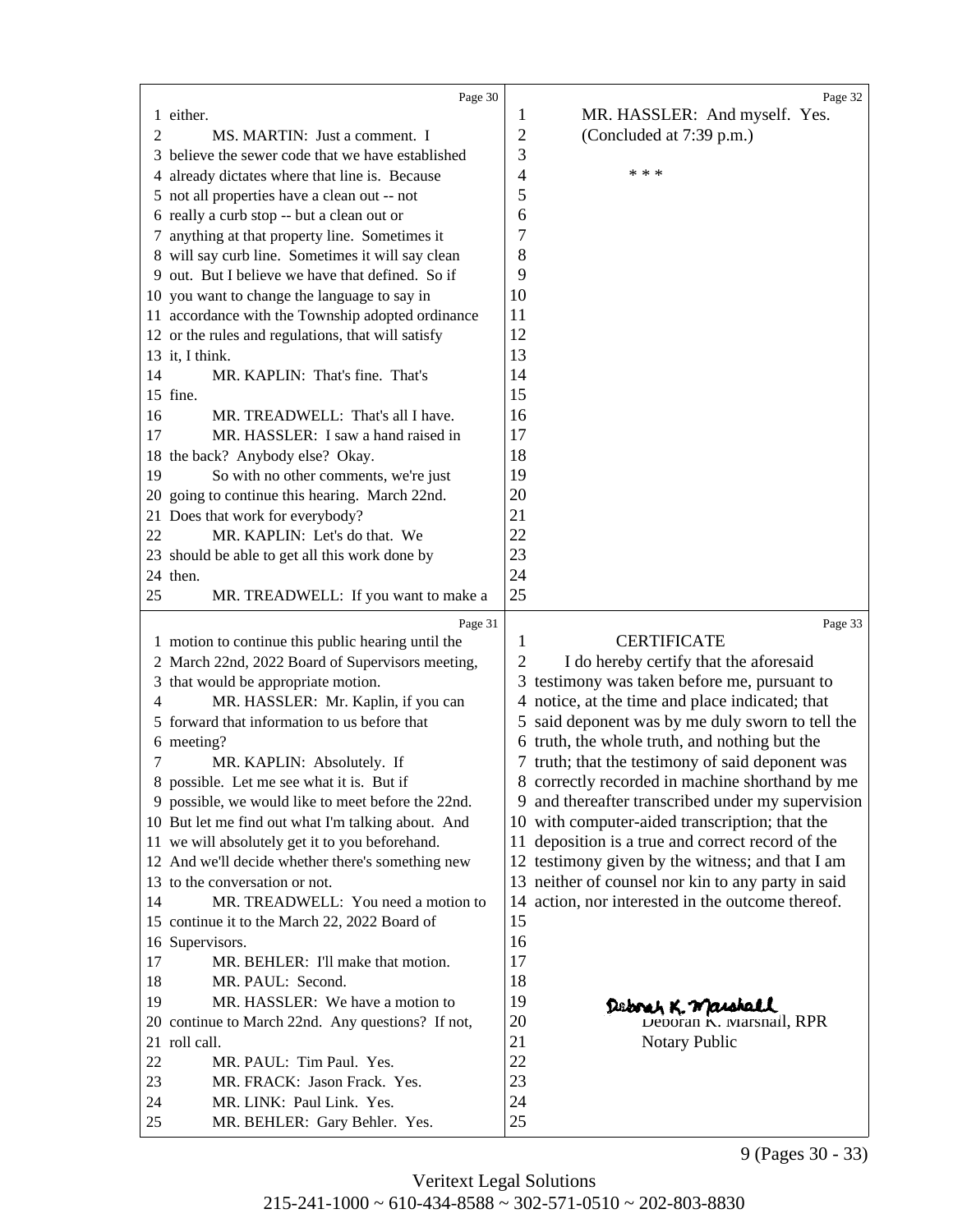<span id="page-11-0"></span>

|          | Page 30                                                    |                | Page 32                                            |
|----------|------------------------------------------------------------|----------------|----------------------------------------------------|
|          | 1 either.                                                  | 1              | MR. HASSLER: And myself. Yes.                      |
| 2        | MS. MARTIN: Just a comment. I                              | $\overline{c}$ | (Concluded at 7:39 p.m.)                           |
| 3        | believe the sewer code that we have established            | 3              |                                                    |
| 4        | already dictates where that line is. Because               | 4              | * * *                                              |
|          | 5 not all properties have a clean out -- not               | 5              |                                                    |
|          |                                                            | 6              |                                                    |
|          | 6 really a curb stop -- but a clean out or                 |                |                                                    |
|          | 7 anything at that property line. Sometimes it             | 7              |                                                    |
|          | 8 will say curb line. Sometimes it will say clean          | 8              |                                                    |
|          | 9 out. But I believe we have that defined. So if           | 9              |                                                    |
|          | 10 you want to change the language to say in               | 10             |                                                    |
|          | 11 accordance with the Township adopted ordinance          | 11             |                                                    |
|          | 12 or the rules and regulations, that will satisfy         | 12             |                                                    |
|          | 13 it, I think.                                            | 13             |                                                    |
| 14       | MR. KAPLIN: That's fine. That's                            | 14             |                                                    |
|          | 15 fine.                                                   | 15             |                                                    |
| 16       | MR. TREADWELL: That's all I have.                          | 16             |                                                    |
| 17       | MR. HASSLER: I saw a hand raised in                        | 17             |                                                    |
|          | 18 the back? Anybody else? Okay.                           | 18             |                                                    |
| 19       | So with no other comments, we're just                      | 19             |                                                    |
| 20       | going to continue this hearing. March 22nd.                | 20             |                                                    |
| 21       | Does that work for everybody?                              | 21             |                                                    |
| 22       | MR. KAPLIN: Let's do that. We                              | 22             |                                                    |
|          | 23 should be able to get all this work done by             | 23             |                                                    |
|          | 24 then.                                                   | 24             |                                                    |
| 25       | MR. TREADWELL: If you want to make a                       | 25             |                                                    |
|          |                                                            |                |                                                    |
|          | Page 31                                                    |                | Page 33                                            |
|          | 1 motion to continue this public hearing until the         | 1              | <b>CERTIFICATE</b>                                 |
|          | 2 March 22nd, 2022 Board of Supervisors meeting,           | 2              | I do hereby certify that the aforesaid             |
| 3        | that would be appropriate motion.                          |                | 3 testimony was taken before me, pursuant to       |
| 4        | MR. HASSLER: Mr. Kaplin, if you can                        |                | 4 notice, at the time and place indicated; that    |
| 5        | forward that information to us before that                 |                | 5 said deponent was by me duly sworn to tell the   |
| 6        | meeting?                                                   |                | 6 truth, the whole truth, and nothing but the      |
| 7        | MR. KAPLIN: Absolutely. If                                 |                | 7 truth; that the testimony of said deponent was   |
|          | 8 possible. Let me see what it is. But if                  |                | 8 correctly recorded in machine shorthand by me    |
|          | 9 possible, we would like to meet before the 22nd.         |                | 9 and thereafter transcribed under my supervision  |
|          | 10 But let me find out what I'm talking about. And         |                | 10 with computer-aided transcription; that the     |
|          | 11 we will absolutely get it to you beforehand.            | 11             | deposition is a true and correct record of the     |
|          | 12 And we'll decide whether there's something new          |                | 12 testimony given by the witness; and that I am   |
|          | 13 to the conversation or not.                             |                | 13 neither of counsel nor kin to any party in said |
| 14       | MR. TREADWELL: You need a motion to                        |                | 14 action, nor interested in the outcome thereof.  |
|          | 15 continue it to the March 22, 2022 Board of              | 15             |                                                    |
|          | 16 Supervisors.                                            | 16             |                                                    |
| 17       | MR. BEHLER: I'll make that motion.                         | 17             |                                                    |
| 18       | MR. PAUL: Second.                                          | 18             |                                                    |
| 19       | MR. HASSLER: We have a motion to                           | 19             | Deboah K. Maiskall                                 |
|          | 20 continue to March 22nd. Any questions? If not,          | 20             | Deboran K. Marshall, RPR                           |
|          | 21 roll call.                                              | 21             | <b>Notary Public</b>                               |
| 22       | MR. PAUL: Tim Paul. Yes.                                   | 22             |                                                    |
| 23       | MR. FRACK: Jason Frack. Yes.                               | 23             |                                                    |
| 24<br>25 | MR. LINK: Paul Link. Yes.<br>MR. BEHLER: Gary Behler. Yes. | 24<br>25       |                                                    |

9 (Pages 30 - 33)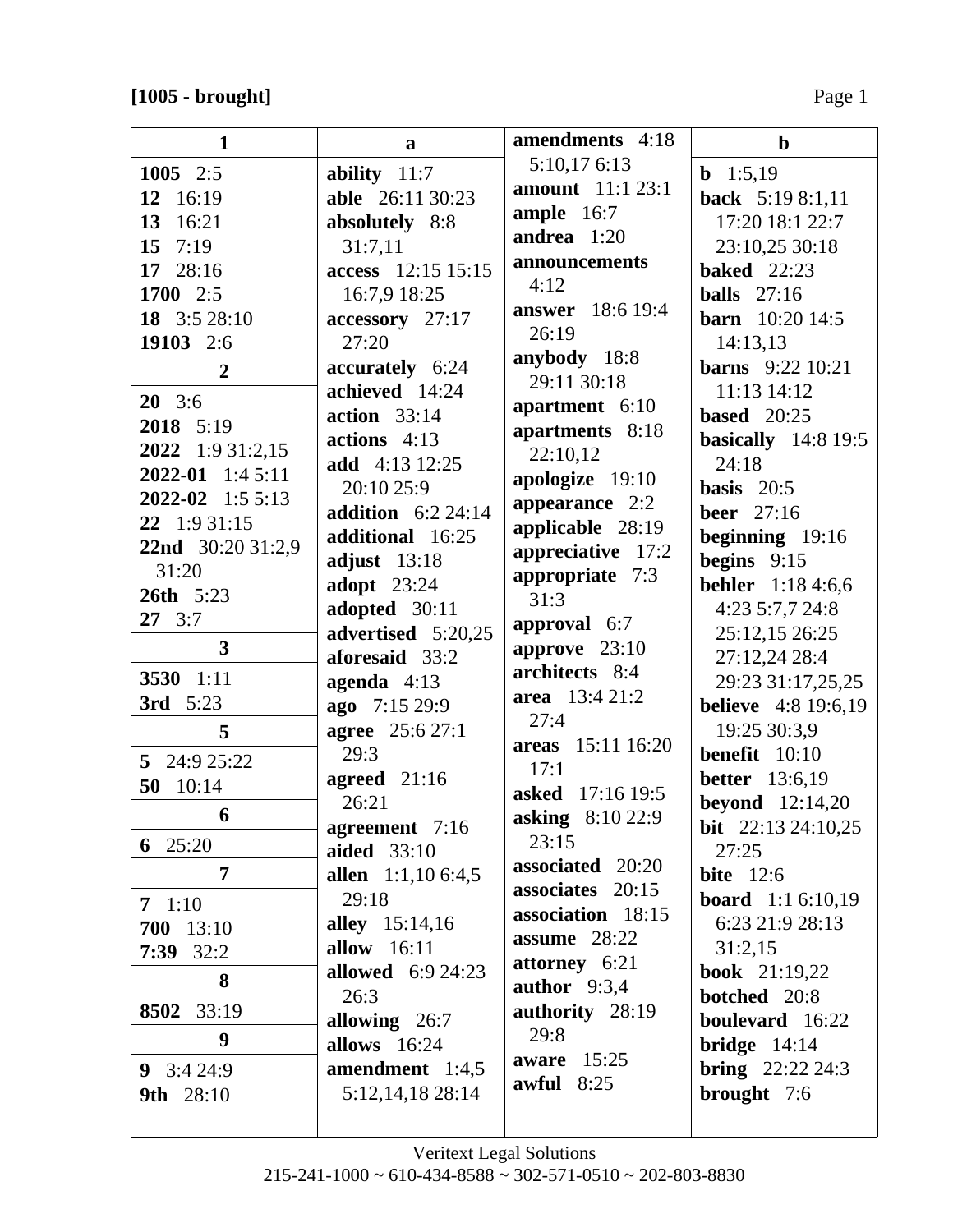| 1                       | a                        | amendments 4:18                   | $\mathbf b$                  |
|-------------------------|--------------------------|-----------------------------------|------------------------------|
| 1005 $2:5$              | ability $11:7$           | 5:10,176:13                       | <b>b</b> 1:5,19              |
| 12 16:19                | able 26:11 30:23         | <b>amount</b> 11:1 23:1           | back 5:19 8:1,11             |
| 13 16:21                | absolutely 8:8           | ample $16:7$                      | 17:20 18:1 22:7              |
| 15 $7:19$               | 31:7,11                  | andrea $1:20$                     | 23:10,25 30:18               |
| 17 28:16                | access 12:15 15:15       | announcements                     | <b>baked</b> 22:23           |
| 1700 2:5                | 16:7,9 18:25             | 4:12                              | balls $27:16$                |
| 18 3:5 28:10            | accessory 27:17          | <b>answer</b> 18:6 19:4           | <b>barn</b> $10:20$ 14:5     |
| 19103 2:6               | 27:20                    | 26:19                             | 14:13,13                     |
| $\overline{2}$          | accurately 6:24          | anybody 18:8                      | <b>barns</b> 9:22 10:21      |
| $20\quad 3:6$           | achieved 14:24           | 29:11 30:18                       | 11:13 14:12                  |
| 2018 5:19               | action 33:14             | apartment 6:10                    | <b>based</b> 20:25           |
| 2022 1:9 31:2,15        | actions $4:13$           | apartments 8:18                   | basically $14:819:5$         |
| $2022 - 01$ 1:4 5:11    | add 4:13 12:25           | 22:10,12                          | 24:18                        |
| $2022 - 02$ 1:5 5:13    | 20:10 25:9               | apologize 19:10                   | basis $20:5$                 |
| 22 1:9 31:15            | addition $6:2$ 24:14     | appearance 2:2                    | <b>beer</b> 27:16            |
| 22nd 30:20 31:2,9       | additional 16:25         | applicable 28:19                  | beginning $19:16$            |
| 31:20                   | adjust $13:18$           | appreciative 17:2                 | begins $9:15$                |
| <b>26th</b> 5:23        | <b>adopt</b> 23:24       | appropriate 7:3<br>31:3           | <b>behler</b> 1:18 4:6,6     |
| $27 \quad 3:7$          | adopted 30:11            |                                   | 4:23 5:7,7 24:8              |
| $\overline{\mathbf{3}}$ | advertised 5:20,25       | approval 6:7                      | 25:12,15 26:25               |
|                         | aforesaid 33:2           | approve $23:10$<br>architects 8:4 | 27:12,24 28:4                |
| 3530 1:11               | agenda $4:13$            | area 13:4 21:2                    | 29:23 31:17,25,25            |
| <b>3rd</b> 5:23         | ago 7:15 29:9            | 27:4                              | <b>believe</b> 4:8 19:6,19   |
| 5                       | <b>agree</b> 25:6 27:1   | areas 15:11 16:20                 | 19:25 30:3,9                 |
| 5 24:9 25:22            | 29:3                     | 17:1                              | <b>benefit</b> $10:10$       |
| 50<br>10:14             | agreed 21:16             | <b>asked</b> 17:16 19:5           | <b>better</b> 13:6,19        |
| 6                       | 26:21                    | asking 8:10 22:9                  | <b>beyond</b> 12:14,20       |
| 6 $25:20$               | agreement 7:16           | 23:15                             | <b>bit</b> $22:13\,24:10,25$ |
|                         | aided 33:10              | associated 20:20                  | 27:25                        |
| $\overline{7}$          | allen 1:1,10 6:4,5       | associates 20:15                  | <b>bite</b> 12:6             |
| $7 \t1:10$              | 29:18                    | association 18:15                 | <b>board</b> $1:1 6:10,19$   |
| 700 13:10               | <b>alley</b> 15:14,16    | assume $28:22$                    | 6:23 21:9 28:13              |
| $7:39$ 32:2             | allow 16:11              | attorney 6:21                     | 31:2,15                      |
| 8                       | <b>allowed</b> 6:9 24:23 | author $9:3,4$                    | <b>book</b> $21:19,22$       |
| 8502 33:19              | 26:3                     | authority 28:19                   | <b>botched</b> 20:8          |
| 9                       | allowing 26:7            | 29:8                              | boulevard 16:22              |
|                         | <b>allows</b> 16:24      | aware $15:25$                     | bridge $14:14$               |
| 9 $3:424:9$             | amendment 1:4,5          | awful $8:25$                      | <b>bring</b> $22:22\,24:3$   |
| 9th 28:10               | 5:12,14,18 28:14         |                                   | brought 7:6                  |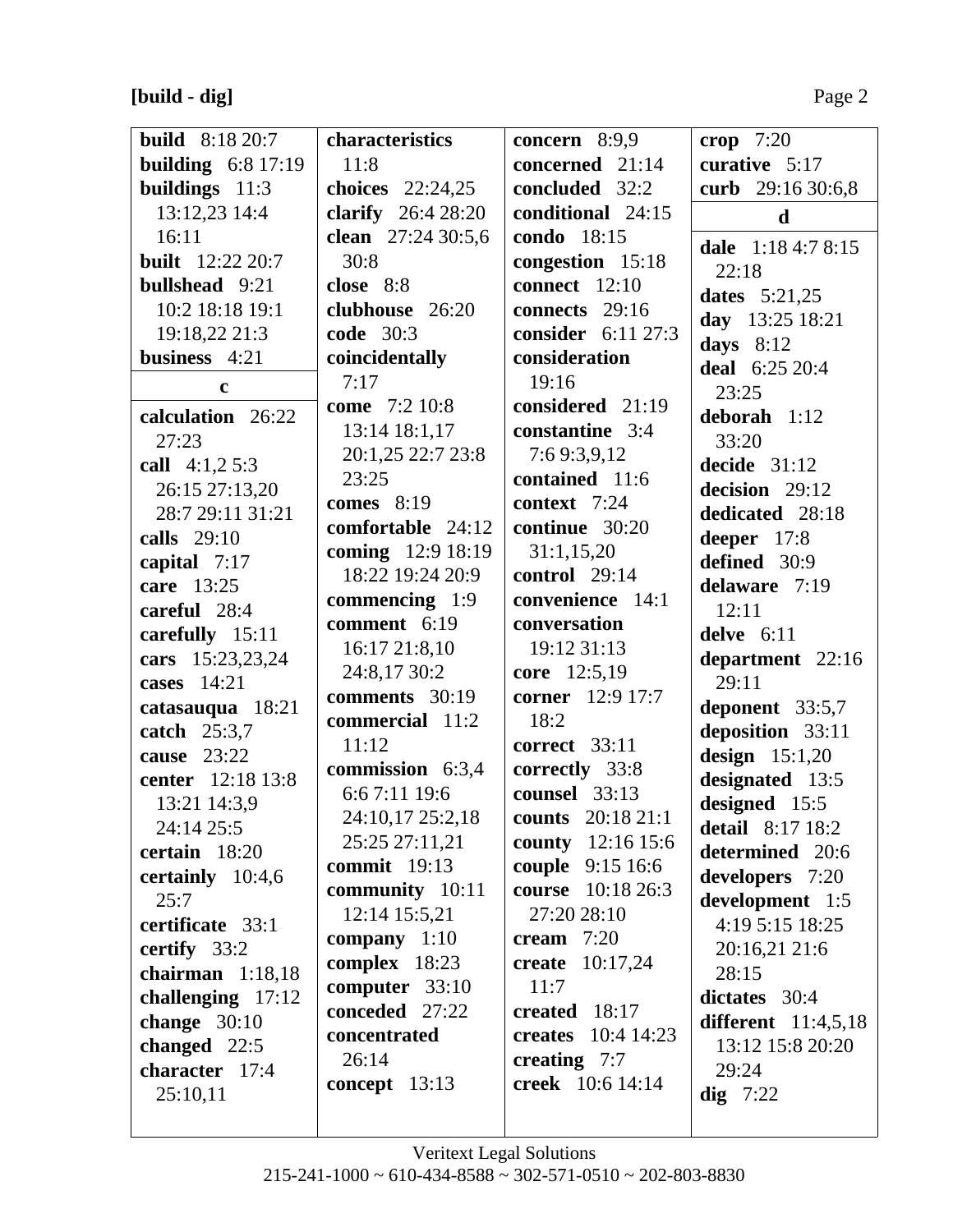**[build - dig]** Page 2

| <b>build</b> 8:18 20:7  | characteristics           | concern 8:9,9             | crop $7:20$           |
|-------------------------|---------------------------|---------------------------|-----------------------|
| building $6:8$ 17:19    | 11:8                      | concerned 21:14           | curative 5:17         |
| buildings 11:3          | choices 22:24,25          | <b>concluded</b> 32:2     | curb 29:16 30:6,8     |
| 13:12,23 14:4           | <b>clarify</b> 26:4 28:20 | conditional 24:15         | $\mathbf d$           |
| 16:11                   | clean 27:24 30:5,6        | condo 18:15               | dale 1:18 4:7 8:15    |
| <b>built</b> 12:22 20:7 | 30:8                      | congestion 15:18          | 22:18                 |
| <b>bullshead</b> 9:21   | close 8:8                 | <b>connect</b> 12:10      | dates $5:21,25$       |
| 10:2 18:18 19:1         | clubhouse 26:20           | connects $29:16$          |                       |
| 19:18,22 21:3           | <b>code</b> 30:3          | consider 6:11 27:3        | day 13:25 18:21       |
| business 4:21           | coincidentally            | consideration             | days $8:12$           |
| $\mathbf c$             | 7:17                      | 19:16                     | deal 6:25 20:4        |
| calculation 26:22       | come 7:2 10:8             | considered 21:19          | 23:25<br>deborah 1:12 |
|                         | 13:14 18:1,17             | constantine 3:4           |                       |
| 27:23                   | 20:1,25 22:7 23:8         | 7:69:3,9,12               | 33:20                 |
| call $4:1,25:3$         | 23:25                     | contained 11:6            | decide $31:12$        |
| 26:15 27:13,20          | comes $8:19$              | context 7:24              | decision 29:12        |
| 28:7 29:11 31:21        | comfortable 24:12         | continue 30:20            | dedicated 28:18       |
| calls 29:10             | coming 12:9 18:19         | 31:1,15,20                | deeper 17:8           |
| capital 7:17            | 18:22 19:24 20:9          | control $29:14$           | defined 30:9          |
| care 13:25              | commencing 1:9            | convenience 14:1          | delaware 7:19         |
| careful 28:4            | comment 6:19              | conversation              | 12:11                 |
| carefully 15:11         | 16:1721:8,10              | 19:12 31:13               | delve $6:11$          |
| cars 15:23,23,24        | 24:8,17 30:2              | core 12:5,19              | department 22:16      |
| cases $14:21$           | comments 30:19            | corner 12:9 17:7          | 29:11                 |
| catasauqua 18:21        | commercial 11:2           | 18:2                      | deponent 33:5,7       |
| catch 25:3,7            | 11:12                     | <b>correct</b> 33:11      | deposition 33:11      |
| cause $23:22$           | commission 6:3,4          | correctly 33:8            | design $15:1,20$      |
| center 12:18 13:8       | 6:67:11 19:6              | counsel 33:13             | designated 13:5       |
| 13:21 14:3,9            | 24:10,17 25:2,18          |                           | designed 15:5         |
| 24:14 25:5              |                           | counts 20:18 21:1         | detail 8:17 18:2      |
| certain 18:20           | 25:25 27:11,21            | county 12:16 15:6         | determined 20:6       |
| certainly $10:4,6$      | commit $19:13$            | <b>couple</b> 9:15 16:6   | developers 7:20       |
| 25:7                    | community 10:11           | course 10:18 26:3         | development 1:5       |
| certificate 33:1        | 12:14 15:5,21             | 27:20 28:10               | 4:19 5:15 18:25       |
| certify 33:2            | company $1:10$            | cream $7:20$              | 20:16,21 21:6         |
| chairman 1:18,18        | complex 18:23             | <b>create</b> 10:17,24    | 28:15                 |
| challenging 17:12       | computer 33:10            | 11:7                      | dictates 30:4         |
| change $30:10$          | conceded 27:22            | created 18:17             | different $11:4,5,18$ |
| changed 22:5            | concentrated              | <b>creates</b> 10:4 14:23 | 13:12 15:8 20:20      |
| character 17:4          | 26:14                     | creating $7:7$            | 29:24                 |
| 25:10,11                | concept $13:13$           | <b>creek</b> 10:6 14:14   | $\text{dig } 7:22$    |
|                         |                           |                           |                       |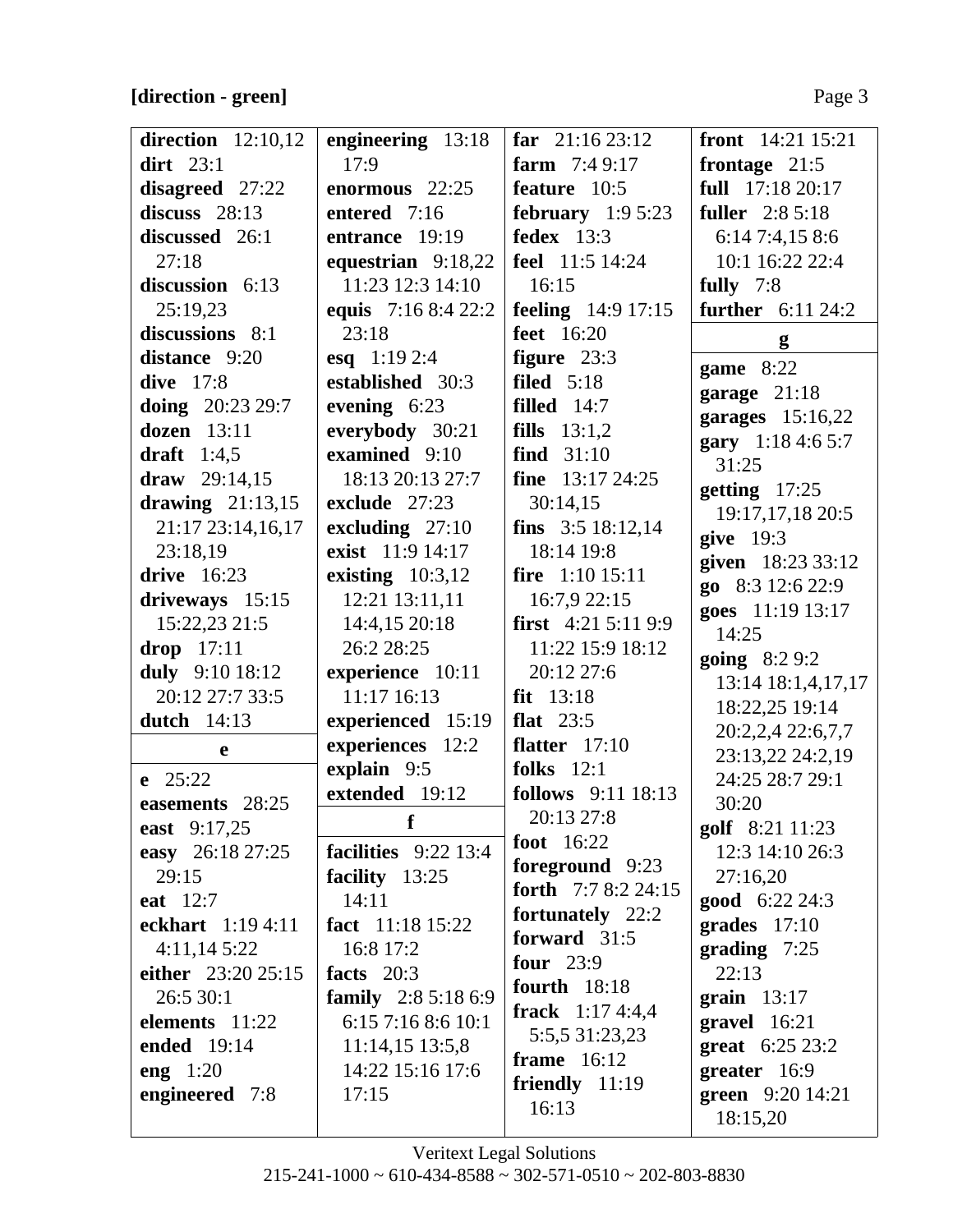## **[direction - green]** Page 3

| direction $12:10,12$       | engineering 13:18      | far $21:1623:12$            | <b>front</b> $14:21$ $15:21$    |
|----------------------------|------------------------|-----------------------------|---------------------------------|
| $\operatorname{dirt}$ 23:1 | 17:9                   | farm $7:49:17$              | frontage $21:5$                 |
| disagreed 27:22            | enormous 22:25         | feature 10:5                | full 17:18 20:17                |
| discuss $28:13$            | entered 7:16           | february $1:95:23$          | <b>fuller</b> 2:8 5:18          |
| discussed 26:1             | entrance 19:19         | fedex $13:3$                | 6:147:4,158:6                   |
| 27:18                      | equestrian $9:18,22$   | feel 11:5 14:24             | 10:1 16:22 22:4                 |
| discussion 6:13            | 11:23 12:3 14:10       | 16:15                       | fully $7:8$                     |
| 25:19,23                   | equis 7:16 8:4 22:2    | <b>feeling</b> $14:9 17:15$ | <b>further</b> 6:11 24:2        |
| discussions 8:1            | 23:18                  | <b>feet</b> 16:20           |                                 |
| distance 9:20              | esq $1:192:4$          | figure $23:3$               | g                               |
| dive 17:8                  | established 30:3       | filed $5:18$                | game 8:22                       |
| doing $20:2329:7$          | evening $6:23$         | <b>filled</b> $14:7$        | garage 21:18                    |
| dozen 13:11                | everybody 30:21        | <b>fills</b> $13:1,2$       | garages $15:16,22$              |
| draft $1:4,5$              | examined 9:10          | find $31:10$                | gary 1:18 4:6 5:7               |
| draw $29:14,15$            | 18:13 20:13 27:7       | fine $13:17\,24:25$         | 31:25                           |
| drawing $21:13,15$         | exclude 27:23          | 30:14,15                    | getting $17:25$                 |
| 21:17 23:14,16,17          | excluding $27:10$      | fins $3:518:12,14$          | 19:17,17,18 20:5<br>give $19:3$ |
| 23:18,19                   | exist 11:9 14:17       | 18:14 19:8                  | given 18:23 33:12               |
| drive 16:23                | existing $10:3,12$     | fire $1:10$ 15:11           | go 8:3 12:6 22:9                |
| driveways 15:15            | 12:21 13:11,11         | 16:7,9 22:15                | goes 11:19 13:17                |
| 15:22,23 21:5              | 14:4,15 20:18          | <b>first</b> $4:215:119:9$  | 14:25                           |
| $drop$ 17:11               | 26:2 28:25             | 11:22 15:9 18:12            | <b>going</b> $8:29:2$           |
| duly 9:10 18:12            | experience 10:11       | 20:12 27:6                  | 13:14 18:1,4,17,17              |
| 20:12 27:7 33:5            | 11:17 16:13            | $fit$ 13:18                 | 18:22,25 19:14                  |
| dutch $14:13$              | experienced 15:19      | flat $23:5$                 | 20:2,2,4 22:6,7,7               |
| e                          | experiences 12:2       | <b>flatter</b> $17:10$      | 23:13,22 24:2,19                |
| $e$ 25:22                  | explain 9:5            | folks $12:1$                | 24:25 28:7 29:1                 |
| easements 28:25            | extended 19:12         | <b>follows</b> 9:11 18:13   | 30:20                           |
| east 9:17,25               | f                      | 20:13 27:8                  | golf 8:21 11:23                 |
| easy 26:18 27:25           | facilities $9:22$ 13:4 | foot $16:22$                | 12:3 14:10 26:3                 |
| 29:15                      | facility 13:25         | foreground 9:23             | 27:16,20                        |
| eat 12:7                   | 14:11                  | forth 7:7 8:2 24:15         | <b>good</b> $6:22\,24:3$        |
| eckhart 1:19 4:11          | fact 11:18 15:22       | fortunately 22:2            | grades $17:10$                  |
| 4:11,145:22                | 16:8 17:2              | forward $31:5$              | grading $7:25$                  |
| either 23:20 25:15         | facts $20:3$           | four $23:9$                 | 22:13                           |
| 26:530:1                   | family 2:8 5:18 6:9    | fourth $18:18$              | grain $13:17$                   |
| elements 11:22             | 6:15 7:16 8:6 10:1     | frack $1:174:4,4$           | gravel 16:21                    |
| ended 19:14                | 11:14,15 13:5,8        | 5:5,5 31:23,23              | <b>great</b> $6:25\,23:2$       |
| eng $1:20$                 | 14:22 15:16 17:6       | frame $16:12$               | greater 16:9                    |
| engineered 7:8             | 17:15                  | friendly $11:19$<br>16:13   | green 9:20 14:21                |
|                            |                        |                             | 18:15,20                        |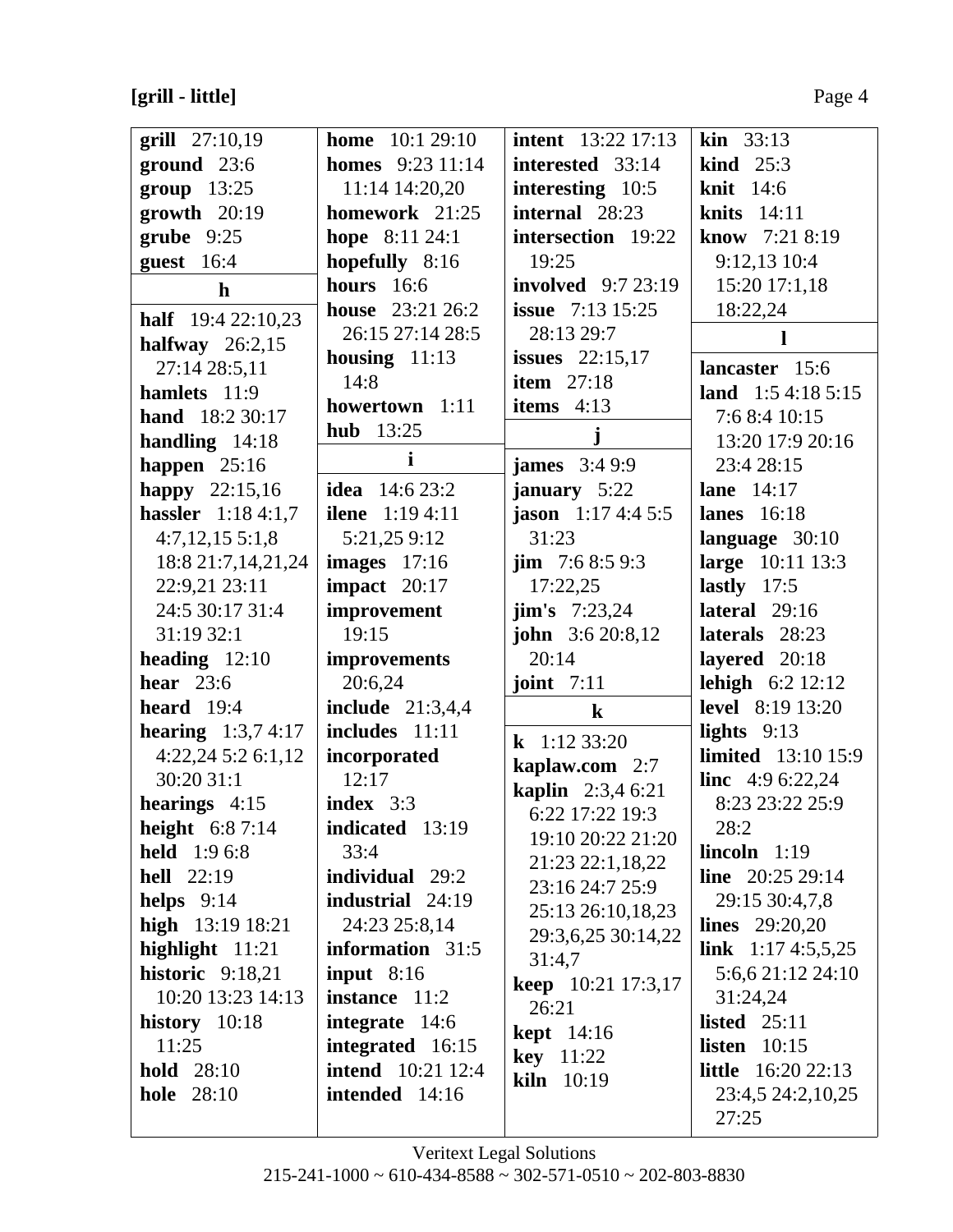**[grill - little]** Page 4

| grill $27:10,19$            | <b>home</b> $10:129:10$   | <b>intent</b> 13:22 17:13 | <b>kin</b> $33:13$         |
|-----------------------------|---------------------------|---------------------------|----------------------------|
| $ground$ 23:6               | <b>homes</b> $9:23$ 11:14 | interested 33:14          | kind $25:3$                |
| $group$ 13:25               | 11:14 14:20,20            | interesting 10:5          | <b>knit</b> 14:6           |
| $growth$ 20:19              | homework 21:25            | internal 28:23            | knits $14:11$              |
| $grube$ 9:25                | hope 8:11 24:1            | intersection 19:22        | know 7:21 8:19             |
| guest 16:4                  | hopefully 8:16            | 19:25                     | 9:12,13 10:4               |
| $\mathbf h$                 | <b>hours</b> 16:6         | <b>involved</b> 9:7 23:19 | $15:20$ 17:1,18            |
| <b>half</b> $19:422:10,23$  | <b>house</b> 23:21 26:2   | <b>issue</b> $7:13$ 15:25 | 18:22,24                   |
| halfway $26:2,15$           | 26:15 27:14 28:5          | 28:13 29:7                | Н                          |
| 27:14 28:5,11               | housing $11:13$           | <b>issues</b> $22:15,17$  | lancaster 15:6             |
| hamlets 11:9                | 14:8                      | item $27:18$              | land $1:54:185:15$         |
| hand 18:2 30:17             | howertown 1:11            | items $4:13$              | 7:6 8:4 10:15              |
| handling $14:18$            | <b>hub</b> 13:25          | j                         | 13:20 17:9 20:16           |
| happen $25:16$              | $\mathbf i$               | <b>james</b> 3:4 9:9      | 23:4 28:15                 |
| happy $22:15,16$            | <b>idea</b> 14:6 23:2     | january 5:22              | <b>lane</b> $14:17$        |
| <b>hassler</b> 1:18 4:1,7   | <b>ilene</b> $1:194:11$   | <b>jason</b> $1:174:45:5$ | lanes $16:18$              |
| $4:7,12,15\ 5:1,8$          | 5:21,25 9:12              | 31:23                     | language 30:10             |
| 18:8 21:7,14,21,24          | images $17:16$            | <b>jim</b> $7:68:59:3$    | large 10:11 13:3           |
| 22:9,21 23:11               | impact $20:17$            | 17:22,25                  | lastly $17:5$              |
| 24:5 30:17 31:4             | improvement               | <b>jim's</b> $7:23,24$    | lateral 29:16              |
| 31:19 32:1                  | 19:15                     | <b>john</b> $3:620:8,12$  | laterals 28:23             |
| heading $12:10$             | improvements              | 20:14                     | layered 20:18              |
| hear $23:6$                 | 20:6,24                   | joint $7:11$              | lehigh 6:2 12:12           |
| heard $19:4$                | include $21:3,4,4$        | $\bf k$                   | <b>level</b> 8:19 13:20    |
| <b>hearing</b> $1:3,7,4:17$ | includes 11:11            | <b>k</b> 1:12 33:20       | lights $9:13$              |
| 4:22,245:26:1,12            | incorporated              | kaplaw.com 2:7            | <b>limited</b> 13:10 15:9  |
| 30:20 31:1                  | 12:17                     | <b>kaplin</b> 2:3,4 6:21  | <b>line</b> $4:96:22,24$   |
| hearings $4:15$             | index $3:3$               | 6:22 17:22 19:3           | 8:23 23:22 25:9            |
| height $6:87:14$            | indicated 13:19           | 19:10 20:22 21:20         | 28:2                       |
| <b>held</b> 1:9 6:8         | 33:4                      | 21:23 22:1,18,22          | lincoh 1:19                |
| <b>hell</b> 22:19           | <b>individual</b> 29:2    | 23:16 24:7 25:9           | <b>line</b> $20:2529:14$   |
| helps $9:14$                | <b>industrial</b> 24:19   | 25:13 26:10,18,23         | 29:15 30:4,7,8             |
| high $13:1918:21$           | 24:23 25:8,14             | 29:3,6,25 30:14,22        | <b>lines</b> $29:20,20$    |
| highlight $11:21$           | information 31:5          | 31:4,7                    | link $1:174:5,5,25$        |
| historic 9:18,21            | input $8:16$              | keep 10:21 17:3,17        | 5:6,6 21:12 24:10          |
| 10:20 13:23 14:13           | <b>instance</b> 11:2      | 26:21                     | 31:24,24                   |
| history $10:18$             | integrate $14:6$          | <b>kept</b> $14:16$       | listed $25:11$             |
| 11:25                       | integrated 16:15          | <b>key</b> $11:22$        | listen $10:15$             |
| <b>hold</b> 28:10           | <b>intend</b> 10:21 12:4  | <b>kiln</b> 10:19         | <b>little</b> $16:202:13$  |
| <b>hole</b> 28:10           | intended 14:16            |                           | 23:4,5 24:2,10,25<br>27:25 |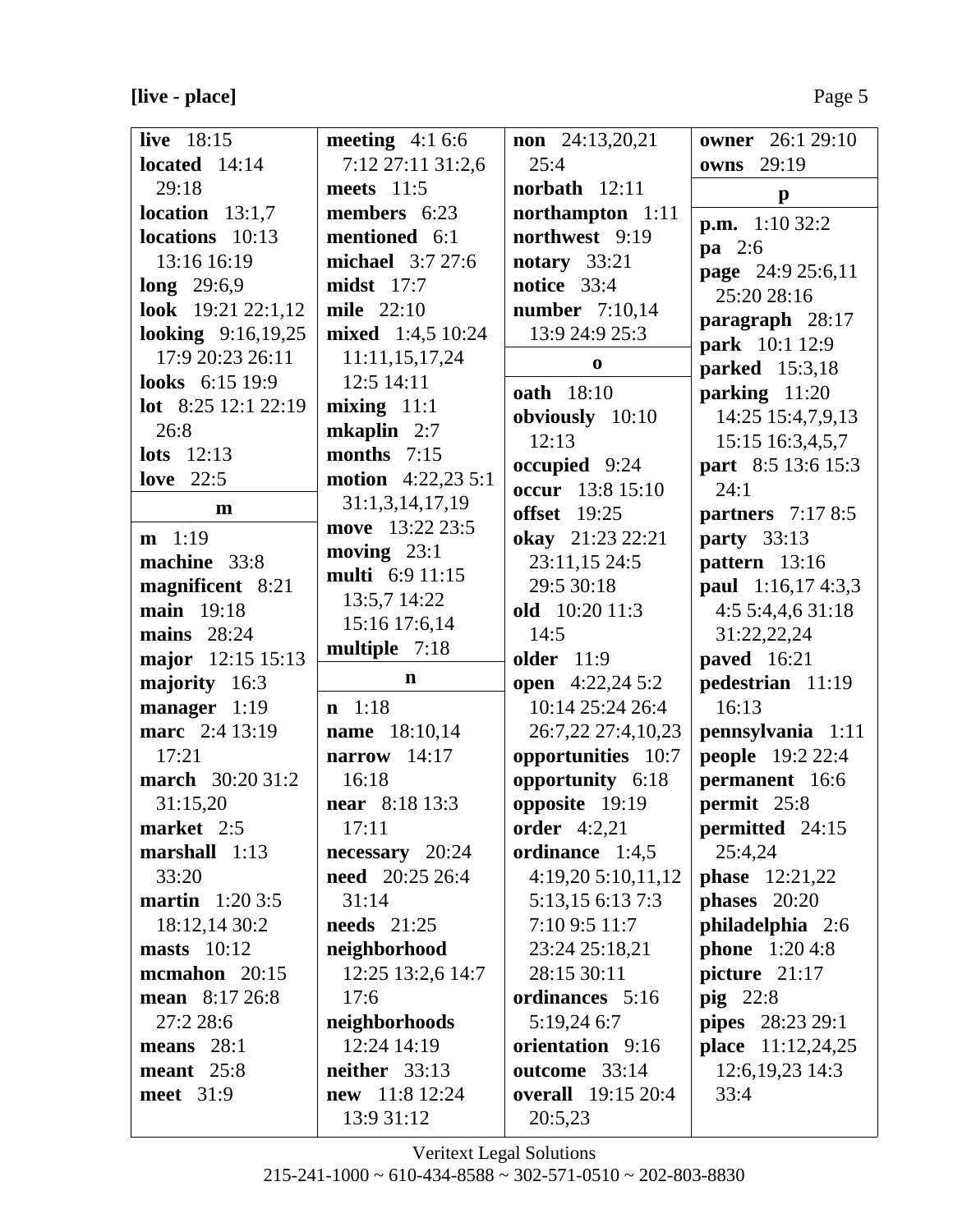[live - place]

| ۰. |  |
|----|--|
|----|--|

| live 18:15              | meeting $4:16:6$          | <b>non</b> $24:13,20,21$  | <b>owner</b> 26:1 29:10 |
|-------------------------|---------------------------|---------------------------|-------------------------|
| located $14:14$         | 7:12 27:11 31:2,6         | 25:4                      | owns 29:19              |
| 29:18                   | meets 11:5                | norbath $12:11$           | $\mathbf{p}$            |
| location $13:1,7$       | members 6:23              | northampton 1:11          | <b>p.m.</b> $1:1032:2$  |
| locations 10:13         | mentioned 6:1             | northwest 9:19            | $\mathbf{pa}$ 2:6       |
| 13:16 16:19             | michael 3:7 27:6          | notary 33:21              | page 24:9 25:6,11       |
| $long$ 29:6,9           | $midst$ 17:7              | notice 33:4               | 25:20 28:16             |
| look 19:21 22:1,12      | <b>mile</b> 22:10         | number 7:10,14            | paragraph 28:17         |
| looking 9:16,19,25      | mixed 1:4,5 10:24         | 13:9 24:9 25:3            | park 10:1 12:9          |
| 17:9 20:23 26:11        | 11:11,15,17,24            | $\bf{0}$                  | <b>parked</b> 15:3,18   |
| looks 6:15 19:9         | 12:5 14:11                | <b>oath</b> 18:10         | parking 11:20           |
| lot 8:25 12:1 22:19     | $mixing$ 11:1             | obviously 10:10           | 14:25 15:4,7,9,13       |
| 26:8                    | mkaplin 2:7               | 12:13                     | 15:15 16:3,4,5,7        |
| lots $12:13$            | months $7:15$             | occupied 9:24             | part 8:5 13:6 15:3      |
| love $22:5$             | <b>motion</b> 4:22,23 5:1 | occur 13:8 15:10          | 24:1                    |
| m                       | 31:1,3,14,17,19           | <b>offset</b> 19:25       | partners 7:17 8:5       |
| $m$ 1:19                | move 13:22 23:5           | okay 21:23 22:21          | <b>party</b> 33:13      |
| machine 33:8            | moving $23:1$             | 23:11,15 24:5             | pattern 13:16           |
| magnificent 8:21        | multi 6:9 11:15           | 29:5 30:18                | paul 1:16,17 4:3,3      |
| main 19:18              | 13:5,7 14:22              | old 10:20 11:3            | 4:55:4,4,631:18         |
| mains $28:24$           | 15:16 17:6,14             | 14:5                      | 31:22,22,24             |
| major 12:15 15:13       | multiple 7:18             | <b>older</b> 11:9         | <b>paved</b> 16:21      |
| majority 16:3           | $\mathbf n$               | <b>open</b> 4:22,24 5:2   | pedestrian 11:19        |
| manager 1:19            | $n \quad 1:18$            | 10:14 25:24 26:4          | 16:13                   |
| marc 2:4 13:19          | name 18:10,14             | 26:7,22 27:4,10,23        | pennsylvania 1:11       |
| 17:21                   | narrow $14:17$            | opportunities 10:7        | <b>people</b> 19:2 22:4 |
| <b>march</b> 30:20 31:2 | 16:18                     | opportunity 6:18          | permanent 16:6          |
| 31:15,20                | <b>near</b> 8:18 13:3     | opposite 19:19            | permit 25:8             |
| market 2:5              | 17:11                     | order 4:2,21              | permitted 24:15         |
| marshall 1:13           | $necessary$ 20:24         | ordinance 1:4,5           | 25:4,24                 |
| 33:20                   | <b>need</b> 20:25 26:4    | 4:19,205:10,11,12         | <b>phase</b> $12:21,22$ |
| <b>martin</b> $1:203:5$ | 31:14                     | 5:13,15 6:13 7:3          | phases $20:20$          |
| 18:12,14 30:2           | needs $21:25$             | 7:10 9:5 11:7             | philadelphia 2:6        |
| masts $10:12$           | neighborhood              | 23:24 25:18,21            | <b>phone</b> $1:204:8$  |
| mcmahon 20:15           | 12:25 13:2,6 14:7         | 28:15 30:11               | picture 21:17           |
| mean 8:17 26:8          | 17:6                      | ordinances 5:16           | $\pi$ ig 22:8           |
| 27:2 28:6               | neighborhoods             | 5:19,24 6:7               | <b>pipes</b> 28:23 29:1 |
| means $28:1$            | 12:24 14:19               | orientation 9:16          | place 11:12,24,25       |
| meant $25:8$            | neither $33:13$           | outcome 33:14             | 12:6, 19, 23 14:3       |
| meet 31:9               | new 11:8 12:24            | <b>overall</b> 19:15 20:4 | 33:4                    |
|                         | 13:9 31:12                | 20:5,23                   |                         |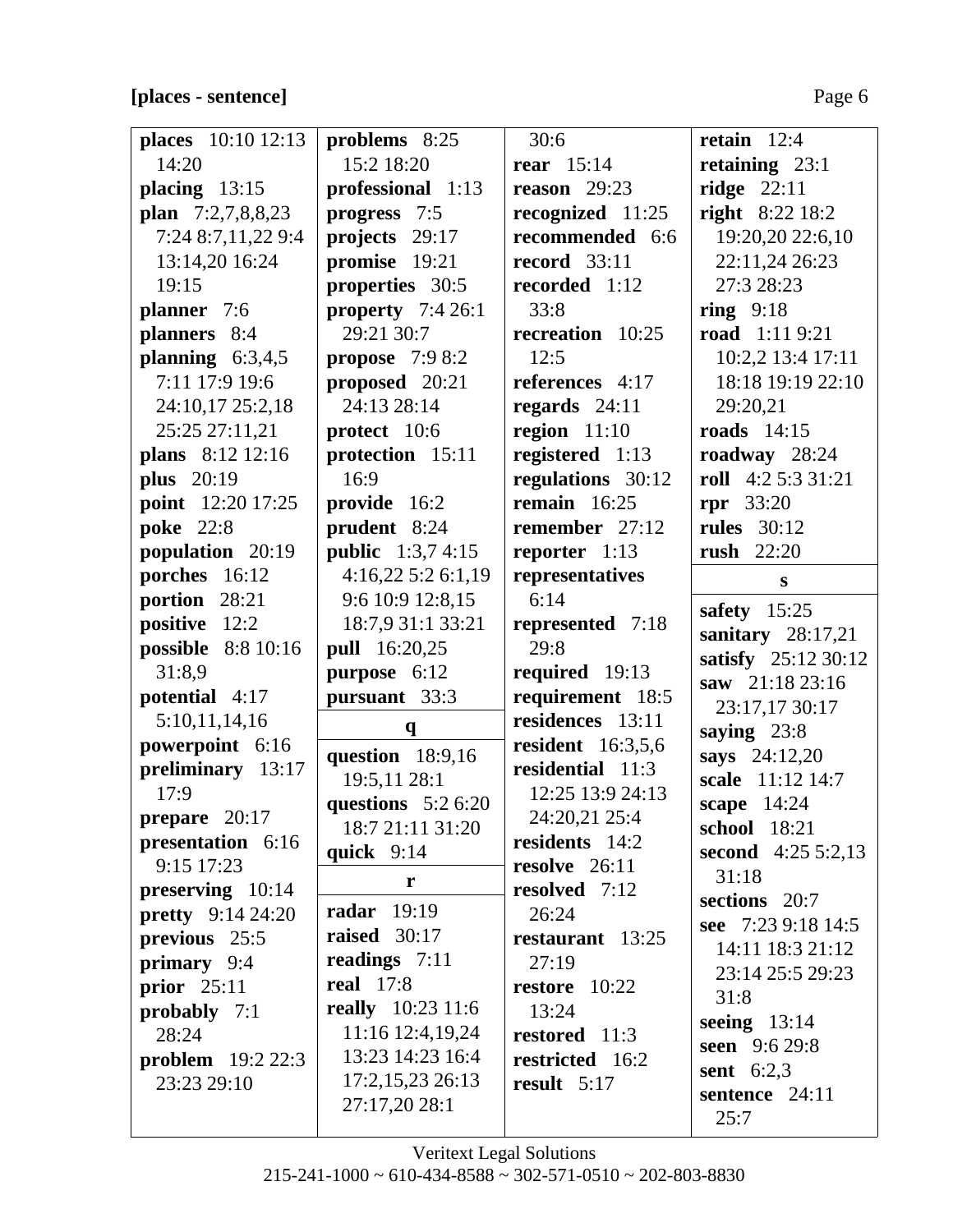## **[places - sentence]** Page 6

| places 10:10 12:13       | problems 8:25                      | 30:6                     | retain $12:4$                          |
|--------------------------|------------------------------------|--------------------------|----------------------------------------|
| 14:20                    | 15:2 18:20                         | rear $15:14$             | retaining $23:1$                       |
| placing $13:15$          | professional 1:13                  | reason $29:23$           | ridge $22:11$                          |
| plan 7:2,7,8,8,23        | progress 7:5                       | recognized 11:25         | <b>right</b> 8:22 18:2                 |
| 7:24 8:7,11,22 9:4       | projects 29:17                     | recommended 6:6          | 19:20,20 22:6,10                       |
| 13:14,20 16:24           | promise 19:21                      | <b>record</b> 33:11      | 22:11,24 26:23                         |
| 19:15                    | properties 30:5                    | recorded 1:12            | 27:3 28:23                             |
| planner 7:6              | property $7:426:1$                 | 33:8                     | ring $9:18$                            |
| planners 8:4             | 29:21 30:7                         | recreation 10:25         | road 1:11 9:21                         |
| planning $6:3,4,5$       | <b>propose</b> 7:9 8:2             | 12:5                     | 10:2,2 13:4 17:11                      |
| 7:11 17:9 19:6           | proposed 20:21                     | references 4:17          | 18:18 19:19 22:10                      |
| 24:10,17 25:2,18         | 24:13 28:14                        | regards $24:11$          | 29:20,21                               |
| 25:25 27:11,21           | protect 10:6                       | region $11:10$           | <b>roads</b> 14:15                     |
| plans 8:12 12:16         | protection 15:11                   | registered 1:13          | roadway 28:24                          |
| <b>plus</b> 20:19        | 16:9                               | regulations 30:12        | roll 4:2 5:3 31:21                     |
| point 12:20 17:25        | provide 16:2                       | remain $16:25$           | $rpr$ 33:20                            |
| <b>poke</b> 22:8         | prudent 8:24                       | remember 27:12           | <b>rules</b> 30:12                     |
| population 20:19         | <b>public</b> 1:3,7 4:15           | reporter 1:13            | <b>rush</b> 22:20                      |
| porches 16:12            | 4:16,225:26:1,19                   | representatives          | $\mathbf{s}$                           |
| portion 28:21            | 9:6 10:9 12:8,15                   | 6:14                     |                                        |
| positive 12:2            | 18:7,9 31:1 33:21                  | represented 7:18         | safety $15:25$                         |
| possible 8:8 10:16       | <b>pull</b> 16:20,25               | 29:8                     | sanitary $28:17,21$                    |
| 31:8,9                   | purpose 6:12                       | required 19:13           | satisfy 25:12 30:12<br>saw 21:18 23:16 |
| potential 4:17           | pursuant 33:3                      | requirement 18:5         |                                        |
| 5:10,11,14,16            | $\mathbf{q}$                       | residences 13:11         | 23:17,17 30:17                         |
| powerpoint 6:16          |                                    | <b>resident</b> 16:3,5,6 | saying $23:8$<br>says 24:12,20         |
| preliminary 13:17        | question $18:9,16$<br>19:5,11 28:1 | residential 11:3         | scale 11:12 14:7                       |
| 17:9                     | questions $5:26:20$                | 12:25 13:9 24:13         |                                        |
| prepare 20:17            | 18:7 21:11 31:20                   | 24:20,21 25:4            | scape 14:24<br>school 18:21            |
| presentation 6:16        |                                    | residents 14:2           | second $4:255:2,13$                    |
| 9:15 17:23               | quick $9:14$                       | resolve $26:11$          | 31:18                                  |
| preserving 10:14         | r                                  | resolved 7:12            | sections 20:7                          |
| <b>pretty</b> 9:14 24:20 | <b>radar</b> 19:19                 | 26:24                    | see 7:23 9:18 14:5                     |
| previous 25:5            | raised 30:17                       | restaurant 13:25         | 14:11 18:3 21:12                       |
| primary 9:4              | readings $7:11$                    | 27:19                    | 23:14 25:5 29:23                       |
| prior $25:11$            | <b>real</b> 17:8                   | restore 10:22            | 31:8                                   |
| probably 7:1             | really 10:23 11:6                  | 13:24                    |                                        |
| 28:24                    | 11:16 12:4,19,24                   | restored 11:3            | seeing $13:14$<br>seen 9:6 29:8        |
| <b>problem</b> $19:22:3$ | 13:23 14:23 16:4                   | restricted 16:2          | sent $6:2,3$                           |
| 23:23 29:10              | 17:2,15,23 26:13                   | result $5:17$            | sentence 24:11                         |
|                          |                                    |                          |                                        |
|                          | 27:17,20 28:1                      |                          | 25:7                                   |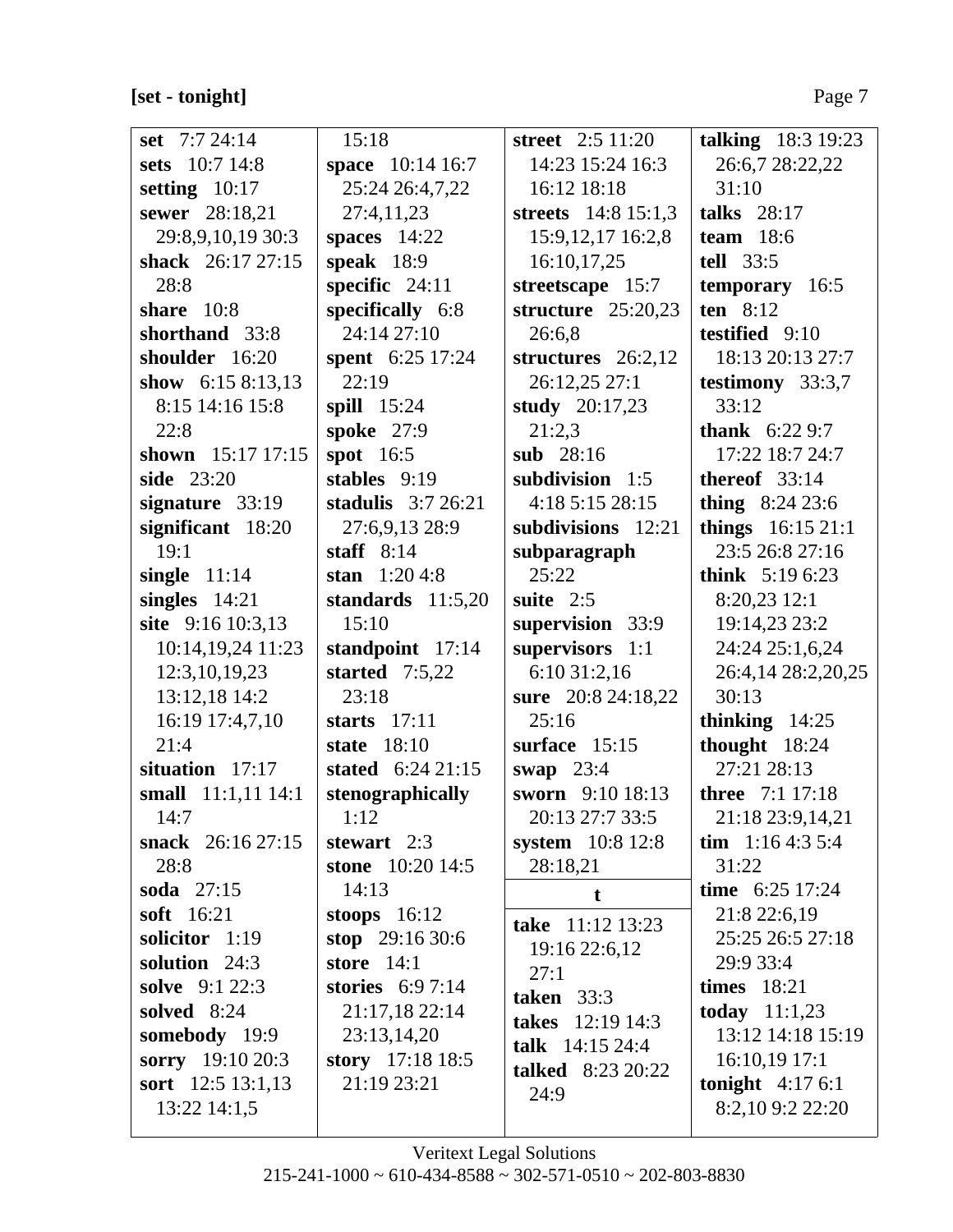# **[set - tonight]** Page 7

| set $7:724:14$     | 15:18                   | street $2:5$ 11:20       | talking 18:3 19:23     |
|--------------------|-------------------------|--------------------------|------------------------|
| sets 10:7 14:8     | space 10:14 16:7        | 14:23 15:24 16:3         | 26:6,7 28:22,22        |
| setting $10:17$    | 25:24 26:4,7,22         | 16:12 18:18              | 31:10                  |
| sewer 28:18,21     | 27:4,11,23              | streets 14:8 15:1,3      | talks $28:17$          |
| 29:8,9,10,19 30:3  | spaces $14:22$          | 15:9, 12, 17 16:2, 8     | team $18:6$            |
| shack 26:17 27:15  | speak $18:9$            | 16:10,17,25              | tell 33:5              |
| 28:8               | specific $24:11$        | streetscape 15:7         | temporary 16:5         |
| share $10:8$       | specifically 6:8        | structure $25:20,23$     | ten $8:12$             |
| shorthand 33:8     | 24:14 27:10             | 26:6,8                   | testified 9:10         |
| shoulder 16:20     | <b>spent</b> 6:25 17:24 | structures 26:2,12       | 18:13 20:13 27:7       |
| show $6:158:13,13$ | 22:19                   | 26:12,25 27:1            | testimony $33:3,7$     |
| 8:15 14:16 15:8    | spill $15:24$           | study $20:17,23$         | 33:12                  |
| 22:8               | spoke 27:9              | 21:2,3                   | <b>thank</b> $6:229:7$ |
| shown 15:17 17:15  | spot $16:5$             | sub $28:16$              | 17:22 18:7 24:7        |
| side 23:20         | stables 9:19            | subdivision 1:5          | thereof $33:14$        |
| signature 33:19    | stadulis $3:726:21$     | 4:18 5:15 28:15          | thing $8:2423:6$       |
| significant 18:20  | 27:6,9,13 28:9          | subdivisions 12:21       | things 16:15 21:1      |
| 19:1               | staff $8:14$            | subparagraph             | 23:5 26:8 27:16        |
| single $11:14$     | stan $1:204:8$          | 25:22                    | think $5:196:23$       |
| singles $14:21$    | standards $11:5,20$     | suite $2:5$              | 8:20,23 12:1           |
| site 9:16 10:3,13  | 15:10                   | supervision 33:9         | 19:14,23 23:2          |
| 10:14,19,24 11:23  | standpoint 17:14        | supervisors 1:1          | 24:24 25:1,6,24        |
| 12:3, 10, 19, 23   | started $7:5,22$        | 6:10 31:2,16             | 26:4,14 28:2,20,25     |
| 13:12,18 14:2      | 23:18                   | sure 20:8 24:18,22       | 30:13                  |
| 16:19 17:4,7,10    | starts $17:11$          | 25:16                    | thinking $14:25$       |
| 21:4               | state $18:10$           | surface 15:15            | thought 18:24          |
| situation 17:17    | stated $6:2421:15$      | swap $23:4$              | 27:21 28:13            |
| small 11:1,11 14:1 | stenographically        | sworn 9:10 18:13         | <b>three</b> 7:1 17:18 |
| 14:7               | 1:12                    | 20:13 27:7 33:5          | 21:18 23:9,14,21       |
| snack 26:16 27:15  | stewart $2:3$           | system 10:8 12:8         | tim $1:164:35:4$       |
| 28:8               | stone 10:20 14:5        | 28:18,21                 | 31:22                  |
| soda 27:15         | 14:13                   | t                        | time $6:25$ 17:24      |
| <b>soft</b> 16:21  | stoops $16:12$          | take 11:12 13:23         | 21:8 22:6,19           |
| solicitor 1:19     | stop $29:1630:6$        | 19:16 22:6,12            | 25:25 26:5 27:18       |
| solution 24:3      | store $14:1$            | 27:1                     | 29:9 33:4              |
| solve 9:1 22:3     | stories $6:97:14$       | taken $33:3$             | times $18:21$          |
| solved 8:24        | 21:17,18 22:14          | takes 12:19 14:3         | <b>today</b> $11:1,23$ |
| somebody 19:9      | 23:13,14,20             | talk $14:15\,24:4$       | 13:12 14:18 15:19      |
| sorry 19:10 20:3   | story 17:18 18:5        | <b>talked</b> 8:23 20:22 | $16:10,19$ 17:1        |
| sort 12:5 13:1,13  | 21:19 23:21             | 24:9                     | tonight $4:176:1$      |
| 13:22 14:1,5       |                         |                          | 8:2,10 9:2 22:20       |